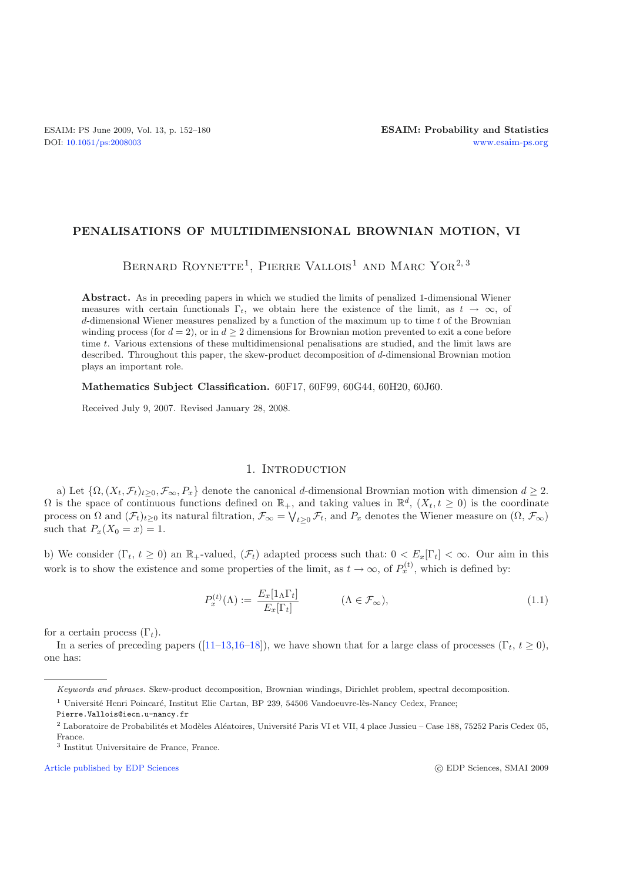## **PENALISATIONS OF MULTIDIMENSIONAL BROWNIAN MOTION, VI**

BERNARD ROYNETTE<sup>1</sup>, PIERRE VALLOIS<sup>1</sup> AND MARC YOR<sup>2,3</sup>

**Abstract.** As in preceding papers in which we studied the limits of penalized 1-dimensional Wiener measures with certain functionals  $\Gamma_t$ , we obtain here the existence of the limit, as  $t \to \infty$ , of *d*-dimensional Wiener measures penalized by a function of the maximum up to time *t* of the Brownian winding process (for  $d = 2$ ), or in  $d \geq 2$  dimensions for Brownian motion prevented to exit a cone before time *t*. Various extensions of these multidimensional penalisations are studied, and the limit laws are described. Throughout this paper, the skew-product decomposition of *d*-dimensional Brownian motion plays an important role.

**Mathematics Subject Classification.** 60F17, 60F99, 60G44, 60H20, 60J60.

Received July 9, 2007. Revised January 28, 2008.

## 1. INTRODUCTION

a) Let  $\{\Omega, (X_t, \mathcal{F}_t)_{t>0}, \mathcal{F}_{\infty}, P_x\}$  denote the canonical d-dimensional Brownian motion with dimension  $d \geq 2$ .  $\Omega$  is the space of continuous functions defined on  $\mathbb{R}_+$ , and taking values in  $\mathbb{R}^d$ ,  $(X_t, t \geq 0)$  is the coordinate process on  $\Omega$  and  $(\mathcal{F}_t)_{t\geq0}$  its natural filtration,  $\mathcal{F}_{\infty} = \bigvee_{t\geq0}\mathcal{F}_t$ , and  $P_x$  denotes the Wiener measure on  $(\Omega, \mathcal{F}_{\infty})$ such that  $P_x(X_0 = x) = 1$ .

b) We consider  $(\Gamma_t, t \geq 0)$  an  $\mathbb{R}_+$ -valued,  $(\mathcal{F}_t)$  adapted process such that:  $0 < E_x[\Gamma_t] < \infty$ . Our aim in this work is to show the existence and some properties of the limit, as  $t \to \infty$ , of  $P_x^{(t)}$ , which is defined by:

$$
P_x^{(t)}(\Lambda) := \frac{E_x[1_\Lambda \Gamma_t]}{E_x[\Gamma_t]} \qquad (\Lambda \in \mathcal{F}_\infty), \qquad (1.1)
$$

for a certain process  $(\Gamma_t)$ .

In a series of preceding papers ([\[11](#page-28-0)[–13](#page-28-1)[,16](#page-28-2)[–18\]](#page-28-3)), we have shown that for a large class of processes (Γt,  $t \ge 0$ ), one has:

[Article published by EDP Sciences](http://www.edpsciences.org)

Keywords and phrases. Skew-product decomposition, Brownian windings, Dirichlet problem, spectral decomposition.

 $^{\rm 1}$ Université Henri Poincaré, Institut Elie Cartan, BP 239, 54506 Vandoeuvre-lès-Nancy Cedex, France;

Pierre.Vallois@iecn.u-nancy.fr

 $^2$  Laboratoire de Probabilités et Modèles Aléatoires, Université Paris VI et VII, 4 place Jussieu – Case 188, 75252 Paris Cedex 05, France.

<sup>3</sup> Institut Universitaire de France, France.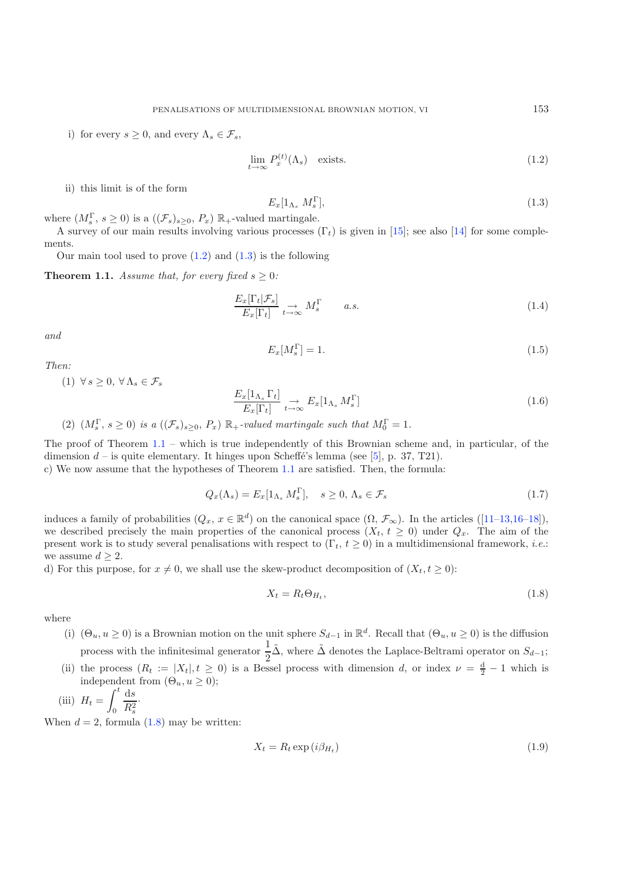<span id="page-1-0"></span>i) for every  $s \geq 0$ , and every  $\Lambda_s \in \mathcal{F}_s$ ,

<span id="page-1-5"></span><span id="page-1-4"></span><span id="page-1-1"></span>
$$
\lim_{t \to \infty} P_x^{(t)}(\Lambda_s) \quad \text{exists.} \tag{1.2}
$$

ii) this limit is of the form

$$
E_x[1_{\Lambda_s} \ M_s^{\Gamma}], \tag{1.3}
$$

where  $(M_s^{\Gamma}, s \geq 0)$  is a  $((\mathcal{F}_s)_{s \geq 0}, P_x) \mathbb{R}_+$ -valued martingale.

A survey of our main results involving various processes  $(\Gamma_t)$  is given in [\[15](#page-28-4)]; see also [\[14\]](#page-28-5) for some complements.

Our main tool used to prove  $(1.2)$  and  $(1.3)$  is the following

<span id="page-1-2"></span>**Theorem 1.1.** *Assume that, for every fixed*  $s \geq 0$ *:* 

$$
\frac{E_x[\Gamma_t|\mathcal{F}_s]}{E_x[\Gamma_t]} \underset{t \to \infty}{\to} M_s^{\Gamma} \qquad a.s. \tag{1.4}
$$

*and*

$$
E_x[M_s^{\Gamma}] = 1. \tag{1.5}
$$

*Then:*

(1)  $\forall s > 0, \forall \Lambda_s \in \mathcal{F}_s$ 

$$
\frac{E_x[1_{\Lambda_s} \Gamma_t]}{E_x[\Gamma_t]} \underset{t \to \infty}{\to} E_x[1_{\Lambda_s} M_s^{\Gamma}]
$$
\n(1.6)

(2)  $(M_s^{\Gamma}, s \ge 0)$  *is a*  $((\mathcal{F}_s)_{s \ge 0}, P_x) \mathbb{R}_+$ *-valued martingale such that*  $M_0^{\Gamma} = 1$ *.* 

The proof of Theorem  $1.1$  – which is true independently of this Brownian scheme and, in particular, of the dimension  $d$  – is quite elementary. It hinges upon Scheffé's lemma (see [\[5](#page-28-6)], p. 37, T21).

c) We now assume that the hypotheses of Theorem [1.1](#page-1-2) are satisfied. Then, the formula:

<span id="page-1-3"></span>
$$
Q_x(\Lambda_s) = E_x[1_{\Lambda_s} M_s^{\Gamma}], \quad s \ge 0, \Lambda_s \in \mathcal{F}_s
$$
\n
$$
(1.7)
$$

induces a family of probabilities  $(Q_x, x \in \mathbb{R}^d)$  on the canonical space  $(\Omega, \mathcal{F}_{\infty})$ . In the articles  $([11-13, 16-18])$  $([11-13, 16-18])$  $([11-13, 16-18])$ , we described precisely the main properties of the canonical process  $(X_t, t \geq 0)$  under  $Q_x$ . The aim of the present work is to study several penalisations with respect to  $(\Gamma_t, t \geq 0)$  in a multidimensional framework, *i.e.*: we assume  $d \geq 2$ .

d) For this purpose, for  $x \neq 0$ , we shall use the skew-product decomposition of  $(X_t, t \geq 0)$ :

$$
X_t = R_t \Theta_{H_t},\tag{1.8}
$$

where

(i)  $(\Theta_u, u \ge 0)$  is a Brownian motion on the unit sphere  $S_{d-1}$  in  $\mathbb{R}^d$ . Recall that  $(\Theta_u, u \ge 0)$  is the diffusion process with the infinitesimal generator  $\frac{1}{2}\tilde{\Delta}$ , where  $\tilde{\Delta}$  denotes the Laplace-Beltrami operator on  $S_{d-1}$ ;

(ii) the process  $(R_t := |X_t|, t \geq 0)$  is a Bessel process with dimension d, or index  $\nu = \frac{d}{2} - 1$  which is independent from  $(\Theta_u, u \geq 0)$ ;

(iii) 
$$
H_t = \int_0^t \frac{\mathrm{d}s}{R_s^2}.
$$

When  $d = 2$ , formula  $(1.8)$  may be written:

$$
X_t = R_t \exp\left(i\beta_{H_t}\right) \tag{1.9}
$$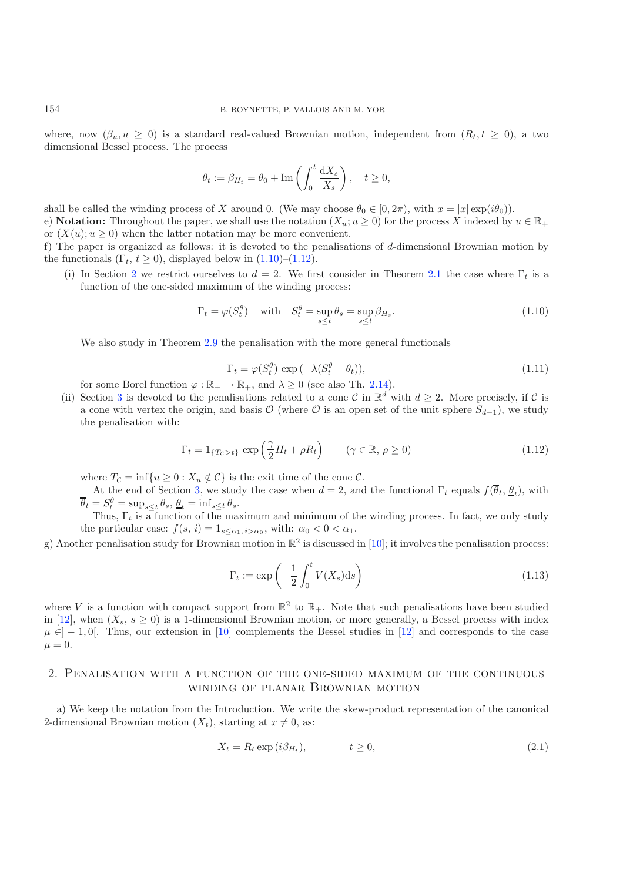where, now  $(\beta_u, u \geq 0)$  is a standard real-valued Brownian motion, independent from  $(R_t, t \geq 0)$ , a two dimensional Bessel process. The process

<span id="page-2-0"></span>
$$
\theta_t := \beta_{H_t} = \theta_0 + \text{Im}\left(\int_0^t \frac{\mathrm{d}X_s}{X_s}\right), \quad t \ge 0,
$$

shall be called the winding process of X around 0. (We may choose  $\theta_0 \in [0, 2\pi)$ , with  $x = |x| \exp(i\theta_0)$ ). e) **Notation:** Throughout the paper, we shall use the notation  $(X_u; u \ge 0)$  for the process X indexed by  $u \in \mathbb{R}_+$ or  $(X(u); u \ge 0)$  when the latter notation may be more convenient.

f) The paper is organized as follows: it is devoted to the penalisations of d-dimensional Brownian motion by the functionals  $(\Gamma_t, t \geq 0)$ , displayed below in  $(1.10)$ – $(1.12)$ .

<span id="page-2-1"></span>(i) In Section [2](#page-2-2) we restrict ourselves to  $d = 2$ . We first consider in Theorem [2.1](#page-3-0) the case where  $\Gamma_t$  is a function of the one-sided maximum of the winding process:

$$
\Gamma_t = \varphi(S_t^{\theta}) \quad \text{with} \quad S_t^{\theta} = \sup_{s \le t} \theta_s = \sup_{s \le t} \beta_{H_s}. \tag{1.10}
$$

We also study in Theorem [2.9](#page-10-0) the penalisation with the more general functionals

$$
\Gamma_t = \varphi(S_t^{\theta}) \exp\left(-\lambda (S_t^{\theta} - \theta_t)\right),\tag{1.11}
$$

for some Borel function  $\varphi : \mathbb{R}_+ \to \mathbb{R}_+$ , and  $\lambda \geq 0$  (see also Th. [2.14\)](#page-13-0).

(ii) Section [3](#page-16-0) is devoted to the penalisations related to a cone C in  $\mathbb{R}^d$  with  $d \geq 2$ . More precisely, if C is a cone with vertex the origin, and basis  $\mathcal{O}$  (where  $\mathcal{O}$  is an open set of the unit sphere  $S_{d-1}$ ), we study the penalisation with:

$$
\Gamma_t = 1_{\{T_c > t\}} \exp\left(\frac{\gamma}{2}H_t + \rho R_t\right) \qquad (\gamma \in \mathbb{R}, \, \rho \ge 0)
$$
\n(1.12)

where  $T_{\mathcal{C}} = \inf \{ u \geq 0 : X_u \notin \mathcal{C} \}$  is the exit time of the cone  $\mathcal{C}$ .

At the end of Section [3,](#page-16-0) we study the case when  $d = 2$ , and the functional  $\Gamma_t$  equals  $f(\overline{\theta}_t, \underline{\theta}_t)$ , with  $\overline{\theta}_t = S_t^{\theta} = \sup_{s \leq t} \theta_s, \underline{\theta}_t = \inf_{s \leq t} \theta_s.$ 

Thus,  $\Gamma_t$  is a function of the maximum and minimum of the winding process. In fact, we only study the particular case:  $f(s, i)=1_{s\leq \alpha_1, i>\alpha_0}$ , with:  $\alpha_0 < 0 < \alpha_1$ .

g) Another penalisation study for Brownian motion in  $\mathbb{R}^2$  is discussed in [\[10\]](#page-28-7); it involves the penalisation process:

<span id="page-2-3"></span>
$$
\Gamma_t := \exp\left(-\frac{1}{2} \int_0^t V(X_s) \mathrm{d}s\right) \tag{1.13}
$$

where V is a function with compact support from  $\mathbb{R}^2$  to  $\mathbb{R}_+$ . Note that such penalisations have been studied in [\[12\]](#page-28-8), when  $(X_s, s \ge 0)$  is a 1-dimensional Brownian motion, or more generally, a Bessel process with index  $\mu \in ]-1,0[$ . Thus, our extension in [\[10\]](#page-28-7) complements the Bessel studies in [\[12](#page-28-8)] and corresponds to the case  $\mu = 0.$ 

# <span id="page-2-2"></span>2. Penalisation with a function of the one-sided maximum of the continuous winding of planar Brownian motion

a) We keep the notation from the Introduction. We write the skew-product representation of the canonical 2-dimensional Brownian motion  $(X_t)$ , starting at  $x \neq 0$ , as:

$$
X_t = R_t \exp(i\beta_{H_t}), \qquad t \ge 0,
$$
\n
$$
(2.1)
$$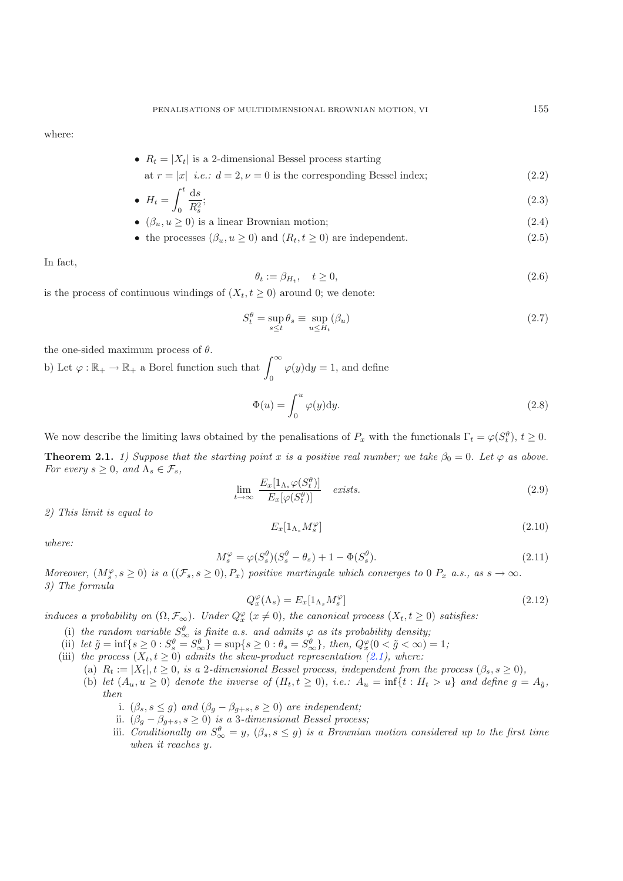where:

• 
$$
R_t = |X_t|
$$
 is a 2-dimensional Bessel process starting

at 
$$
r = |x|
$$
 *i.e.*:  $d = 2, \nu = 0$  is the corresponding Bessel index; (2.2)

• 
$$
H_t = \int_0^t \frac{\mathrm{d}s}{R_s^2};\tag{2.3}
$$

• 
$$
(\beta_u, u \ge 0)
$$
 is a linear Brownian motion;  $(2.4)$ 

<span id="page-3-3"></span>• the processes 
$$
(\beta_u, u \ge 0)
$$
 and  $(R_t, t \ge 0)$  are independent. (2.5)

In fact,

<span id="page-3-4"></span>
$$
\theta_t := \beta_{H_t}, \quad t \ge 0,\tag{2.6}
$$

is the process of continuous windings of  $(X_t, t \geq 0)$  around 0; we denote:

<span id="page-3-1"></span>
$$
S_t^{\theta} = \sup_{s \le t} \theta_s \equiv \sup_{u \le H_t} (\beta_u)
$$
\n(2.7)

the one-sided maximum process of  $\theta$ .

b) Let  $\varphi : \mathbb{R}_+ \to \mathbb{R}_+$  a Borel function such that  $\int_0^\infty$  $\varphi(y)dy = 1$ , and define

<span id="page-3-2"></span>
$$
\Phi(u) = \int_0^u \varphi(y) dy.
$$
\n(2.8)

<span id="page-3-0"></span>We now describe the limiting laws obtained by the penalisations of  $P_x$  with the functionals  $\Gamma_t = \varphi(S_t^{\theta}), t \ge 0$ .

**Theorem 2.1.** *1) Suppose that the starting point* x *is a positive real number; we take*  $\beta_0 = 0$ *. Let*  $\varphi$  *as above. For every*  $s \geq 0$ *, and*  $\Lambda_s \in \mathcal{F}_s$ *,* 

$$
\lim_{t \to \infty} \frac{E_x[1_{\Lambda_s} \varphi(S_t^{\theta})]}{E_x[\varphi(S_t^{\theta})]} \quad exists. \tag{2.9}
$$

*2) This limit is equal to*

$$
E_x[1_{\Lambda_s}M_s^{\varphi}] \tag{2.10}
$$

*where:*

$$
M_s^{\varphi} = \varphi(S_s^{\theta})(S_s^{\theta} - \theta_s) + 1 - \Phi(S_s^{\theta}).
$$
\n(2.11)

*Moreover,*  $(M_s^{\varphi}, s \ge 0)$  *is a*  $((\mathcal{F}_s, s \ge 0), P_x)$  *positive martingale which converges to* 0  $P_x$  *a.s., as*  $s \to \infty$ *. 3) The formula*

$$
Q_x^{\varphi}(\Lambda_s) = E_x[1_{\Lambda_s} M_s^{\varphi}] \tag{2.12}
$$

*induces a probability on*  $(\Omega, \mathcal{F}_{\infty})$ *. Under*  $Q_x^{\varphi}$  ( $x \neq 0$ )*, the canonical process* ( $X_t, t \geq 0$ ) *satisfies:* 

- (i) the random variable  $S^{\theta}_{\infty}$  is finite a.s. and admits  $\varphi$  as its probability density;
- (ii) *let*  $\tilde{g} = \inf\{s \ge 0 : S_s^{\theta} = S_{\infty}^{\theta}\} = \sup\{s \ge 0 : \theta_s = S_{\infty}^{\theta}\},\ \text{then, } Q_x^{\varphi}(0 < \tilde{g} < \infty) = 1;$
- (iii) the process  $(X_t, t \geq 0)$  admits the skew-product representation [\(2.1\)](#page-2-3), where:
	- (a)  $R_t := |X_t|, t \geq 0$ , is a 2-dimensional Bessel process, independent from the process  $(\beta_s, s \geq 0)$ ,
	- (b) *let*  $(A_u, u \ge 0)$  *denote the inverse of*  $(H_t, t \ge 0)$ *, i.e.:*  $A_u = \inf\{t : H_t > u\}$  *and define*  $g = A_{\tilde{g}}$ *, then*
		- i.  $(\beta_s, s \leq g)$  *and*  $(\beta_g \beta_{g+s}, s \geq 0)$  *are independent;*
		- ii.  $(\beta_g \beta_{g+s}, s \ge 0)$  *is a* 3*-dimensional Bessel process;*
		- iii. *Conditionally on*  $S^{\theta}_{\infty} = y$ ,  $(\beta_s, s \leq g)$  *is a Brownian motion considered up to the first time when it reaches* y*.*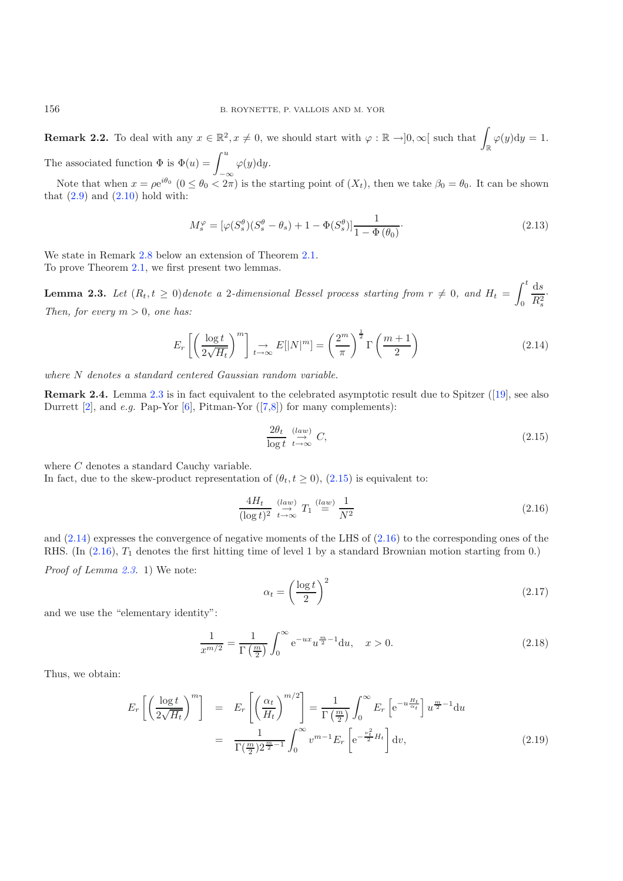**Remark 2.2.** To deal with any  $x \in \mathbb{R}^2$ ,  $x \neq 0$ , we should start with  $\varphi : \mathbb{R} \to ]0, \infty[$  such that  $\int_{\mathbb{R}} \varphi(y) dy = 1$ .

The associated function  $\Phi$  is  $\Phi(u) = \int^u$ −∞  $\varphi(y)dy.$ 

<span id="page-4-2"></span>Note that when  $x = \rho e^{i\theta_0}$   $(0 \le \theta_0 < 2\pi)$  is the starting point of  $(X_t)$ , then we take  $\beta_0 = \theta_0$ . It can be shown that  $(2.9)$  and  $(2.10)$  hold with:

$$
M_s^{\varphi} = [\varphi(S_s^{\theta})(S_s^{\theta} - \theta_s) + 1 - \Phi(S_s^{\theta})] \frac{1}{1 - \Phi(\theta_0)}.
$$
\n(2.13)

<span id="page-4-0"></span>We state in Remark [2.8](#page-9-0) below an extension of Theorem [2.1.](#page-3-0) To prove Theorem [2.1,](#page-3-0) we first present two lemmas.

**Lemma 2.3.** Let  $(R_t, t \geq 0)$  denote a 2-dimensional Bessel process starting from  $r \neq 0$ , and  $H_t =$  $\int_0^t$ 0  $\mathrm{d}s$  $R_s^2$ · *Then, for every*  $m > 0$ *, one has:* 

<span id="page-4-3"></span><span id="page-4-1"></span>
$$
E_r \left[ \left( \frac{\log t}{2\sqrt{H_t}} \right)^m \right] \underset{t \to \infty}{\to} E[|N|^m] = \left( \frac{2^m}{\pi} \right)^{\frac{1}{2}} \Gamma\left(\frac{m+1}{2}\right) \tag{2.14}
$$

*where* N *denotes a standard centered Gaussian random variable.*

**Remark 2.4.** Lemma [2.3](#page-4-0) is in fact equivalent to the celebrated asymptotic result due to Spitzer ([\[19\]](#page-28-9), see also Durrett  $[2]$  $[2]$ , and *e.g.* Pap-Yor  $[6]$  $[6]$ , Pitman-Yor  $([7,8])$  $([7,8])$  $([7,8])$  $([7,8])$  for many complements):

$$
\frac{2\theta_t}{\log t} \stackrel{(law)}{\underset{t \to \infty}{\longrightarrow}} C,\tag{2.15}
$$

where C denotes a standard Cauchy variable.

In fact, due to the skew-product representation of  $(\theta_t, t \ge 0)$ ,  $(2.15)$  is equivalent to:

$$
\frac{4H_t}{(\log t)^2} \stackrel{(law)}{\underset{t \to \infty}{\to}} T_1 \stackrel{(law)}{=} \frac{1}{N^2}
$$
\n(2.16)

and [\(2.14\)](#page-4-2) expresses the convergence of negative moments of the LHS of [\(2.16\)](#page-4-3) to the corresponding ones of the RHS. (In  $(2.16)$ ,  $T_1$  denotes the first hitting time of level 1 by a standard Brownian motion starting from 0.) *Proof of Lemma [2.3.](#page-4-0)* 1) We note:

$$
\alpha_t = \left(\frac{\log t}{2}\right)^2\tag{2.17}
$$

and we use the "elementary identity":

$$
\frac{1}{x^{m/2}} = \frac{1}{\Gamma(\frac{m}{2})} \int_0^\infty e^{-ux} u^{\frac{m}{2}-1} du, \quad x > 0.
$$
 (2.18)

<span id="page-4-4"></span>Thus, we obtain:

$$
E_r\left[\left(\frac{\log t}{2\sqrt{H_t}}\right)^m\right] = E_r\left[\left(\frac{\alpha_t}{H_t}\right)^{m/2}\right] = \frac{1}{\Gamma\left(\frac{m}{2}\right)} \int_0^\infty E_r\left[e^{-u\frac{H_t}{\alpha_t}}\right] u^{\frac{m}{2}-1} \mathrm{d}u
$$

$$
= \frac{1}{\Gamma\left(\frac{m}{2}\right)2^{\frac{m}{2}-1}} \int_0^\infty v^{m-1} E_r\left[e^{-\frac{v_t^2}{2}H_t}\right] \mathrm{d}v,\tag{2.19}
$$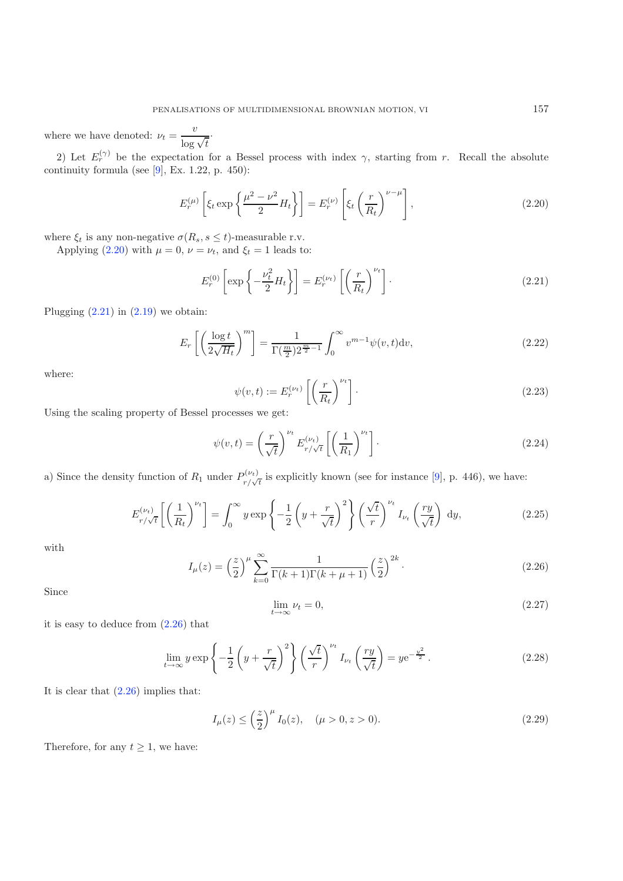<span id="page-5-1"></span><span id="page-5-0"></span>where we have denoted:  $\nu_t = \frac{v}{\log \sqrt{t}}$ .

<span id="page-5-5"></span>2) Let  $E_r^{(\gamma)}$  be the expectation for a Bessel process with index  $\gamma$ , starting from r. Recall the absolute continuity formula (see  $[9]$  $[9]$ , Ex. 1.22, p. 450):

$$
E_r^{(\mu)}\left[\xi_t \exp\left\{\frac{\mu^2 - \nu^2}{2} H_t\right\}\right] = E_r^{(\nu)}\left[\xi_t \left(\frac{r}{R_t}\right)^{\nu - \mu}\right],\tag{2.20}
$$

where  $\xi_t$  is any non-negative  $\sigma(R_s, s \leq t)$ -measurable r.v.

Applying [\(2.20\)](#page-5-0) with  $\mu = 0$ ,  $\nu = \nu_t$ , and  $\xi_t = 1$  leads to:

$$
E_r^{(0)}\left[\exp\left\{-\frac{\nu_t^2}{2}H_t\right\}\right] = E_r^{(\nu_t)}\left[\left(\frac{r}{R_t}\right)^{\nu_t}\right].\tag{2.21}
$$

Plugging  $(2.21)$  in  $(2.19)$  we obtain:

<span id="page-5-4"></span>
$$
E_r\left[\left(\frac{\log t}{2\sqrt{H_t}}\right)^m\right] = \frac{1}{\Gamma(\frac{m}{2})2^{\frac{m}{2}-1}} \int_0^\infty v^{m-1} \psi(v,t) \mathrm{d}v,\tag{2.22}
$$

<span id="page-5-3"></span>where:

$$
\psi(v,t) := E_r^{(\nu_t)} \left[ \left( \frac{r}{R_t} \right)^{\nu_t} \right].
$$
\n(2.23)

<span id="page-5-2"></span>Using the scaling property of Bessel processes we get:

$$
\psi(v,t) = \left(\frac{r}{\sqrt{t}}\right)^{\nu_t} E_{r/\sqrt{t}}^{(\nu_t)} \left[\left(\frac{1}{R_1}\right)^{\nu_t}\right].
$$
\n(2.24)

a) Since the density function of  $R_1$  under  $P_{r/\sqrt{t}}^{(\nu_t)}$  is explicitly known (see for instance [\[9](#page-28-14)], p. 446), we have:

$$
E_{r/\sqrt{t}}^{(\nu_t)} \left[ \left( \frac{1}{R_t} \right)^{\nu_t} \right] = \int_0^\infty y \exp\left\{ -\frac{1}{2} \left( y + \frac{r}{\sqrt{t}} \right)^2 \right\} \left( \frac{\sqrt{t}}{r} \right)^{\nu_t} I_{\nu_t} \left( \frac{ry}{\sqrt{t}} \right) dy,
$$
\n(2.25)

with

$$
I_{\mu}(z) = \left(\frac{z}{2}\right)^{\mu} \sum_{k=0}^{\infty} \frac{1}{\Gamma(k+1)\Gamma(k+\mu+1)} \left(\frac{z}{2}\right)^{2k}.
$$
\n(2.26)

Since

$$
\lim_{t \to \infty} \nu_t = 0,\tag{2.27}
$$

it is easy to deduce from [\(2.26\)](#page-5-2) that

$$
\lim_{t \to \infty} y \exp\left\{-\frac{1}{2}\left(y + \frac{r}{\sqrt{t}}\right)^2\right\} \left(\frac{\sqrt{t}}{r}\right)^{\nu_t} I_{\nu_t}\left(\frac{ry}{\sqrt{t}}\right) = ye^{-\frac{y^2}{2}}.
$$
\n(2.28)

It is clear that  $(2.26)$  implies that:

$$
I_{\mu}(z) \le \left(\frac{z}{2}\right)^{\mu} I_0(z), \quad (\mu > 0, z > 0). \tag{2.29}
$$

Therefore, for any  $t \geq 1$ , we have: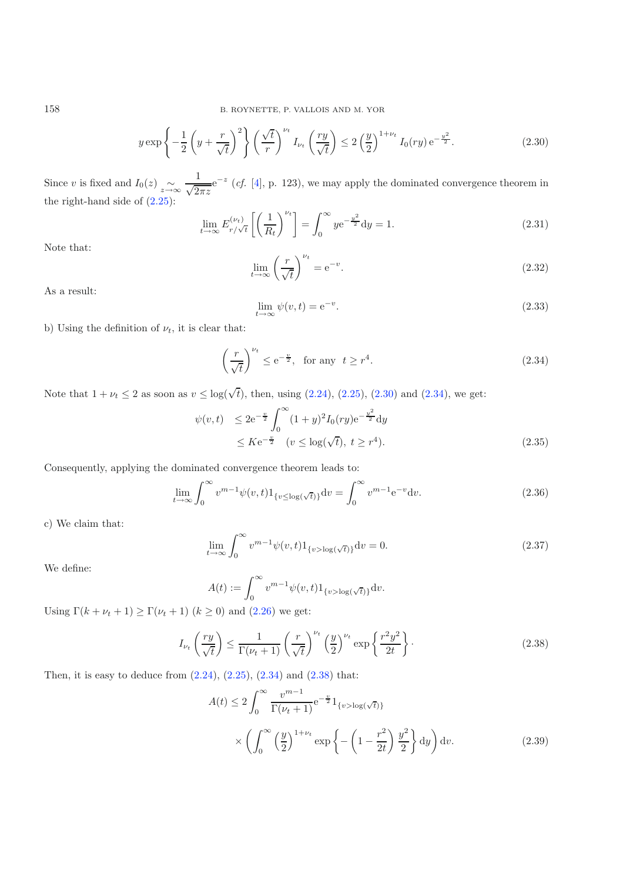$$
y \exp\left\{-\frac{1}{2}\left(y+\frac{r}{\sqrt{t}}\right)^2\right\} \left(\frac{\sqrt{t}}{r}\right)^{\nu_t} I_{\nu_t}\left(\frac{ry}{\sqrt{t}}\right) \le 2\left(\frac{y}{2}\right)^{1+\nu_t} I_0(ry) e^{-\frac{y^2}{2}}.
$$
 (2.30)

Since v is fixed and  $I_0(z) \sim \frac{1}{z \to \infty} e^{-z}$  (*cf.* [\[4\]](#page-28-15), p. 123), we may apply the dominated convergence theorem in the right-hand side of [\(2.25\)](#page-5-3):

<span id="page-6-1"></span>
$$
\lim_{t \to \infty} E_{r/\sqrt{t}}^{(\nu_t)} \left[ \left( \frac{1}{R_t} \right)^{\nu_t} \right] = \int_0^\infty y e^{-\frac{y^2}{2}} dy = 1. \tag{2.31}
$$

Note that:

$$
\lim_{t \to \infty} \left(\frac{r}{\sqrt{t}}\right)^{\nu_t} = e^{-v}.\tag{2.32}
$$

As a result:

$$
\lim_{t \to \infty} \psi(v, t) = e^{-v}.
$$
\n(2.33)

<span id="page-6-4"></span>b) Using the definition of  $\nu_t$ , it is clear that:

$$
\left(\frac{r}{\sqrt{t}}\right)^{\nu_t} \le e^{-\frac{v}{2}}, \text{ for any } t \ge r^4. \tag{2.34}
$$

Note that  $1 + \nu_t \le 2$  as soon as  $v \le \log(\sqrt{t})$ , then, using  $(2.24)$ ,  $(2.25)$ ,  $(2.30)$  and  $(2.34)$ , we get:

<span id="page-6-3"></span>
$$
\psi(v,t) \le 2e^{-\frac{v}{2}} \int_0^\infty (1+y)^2 I_0(ry) e^{-\frac{v^2}{2}} dy
$$
  
 
$$
\le K e^{-\frac{v}{2}} \quad (v \le \log(\sqrt{t}), \ t \ge r^4). \tag{2.35}
$$

<span id="page-6-2"></span>Consequently, applying the dominated convergence theorem leads to:

$$
\lim_{t \to \infty} \int_0^{\infty} v^{m-1} \psi(v, t) 1_{\{v \le \log(\sqrt{t})\}} dv = \int_0^{\infty} v^{m-1} e^{-v} dv.
$$
\n(2.36)

c) We claim that:

$$
\lim_{t \to \infty} \int_0^\infty v^{m-1} \psi(v, t) 1_{\{v > \log(\sqrt{t})\}} dv = 0.
$$
\n(2.37)

We define:

$$
A(t) := \int_0^\infty v^{m-1} \psi(v, t) 1_{\{v > \log(\sqrt{t})\}} dv.
$$

Using  $\Gamma(k + \nu_t + 1) \geq \Gamma(\nu_t + 1)$   $(k \geq 0)$  and  $(2.26)$  we get:

$$
I_{\nu_t}\left(\frac{ry}{\sqrt{t}}\right) \le \frac{1}{\Gamma(\nu_t + 1)} \left(\frac{r}{\sqrt{t}}\right)^{\nu_t}\left(\frac{y}{2}\right)^{\nu_t} \exp\left\{\frac{r^2y^2}{2t}\right\}.
$$
\n(2.38)

Then, it is easy to deduce from  $(2.24)$ ,  $(2.25)$ ,  $(2.34)$  and  $(2.38)$  that:

$$
A(t) \le 2 \int_0^\infty \frac{v^{m-1}}{\Gamma(\nu_t + 1)} e^{-\frac{v}{2}} 1_{\{v > \log(\sqrt{t})\}}
$$

$$
\times \left( \int_0^\infty \left(\frac{y}{2}\right)^{1+\nu_t} \exp\left\{-\left(1 - \frac{r^2}{2t}\right) \frac{y^2}{2}\right\} dy \right) dv. \tag{2.39}
$$

<span id="page-6-0"></span>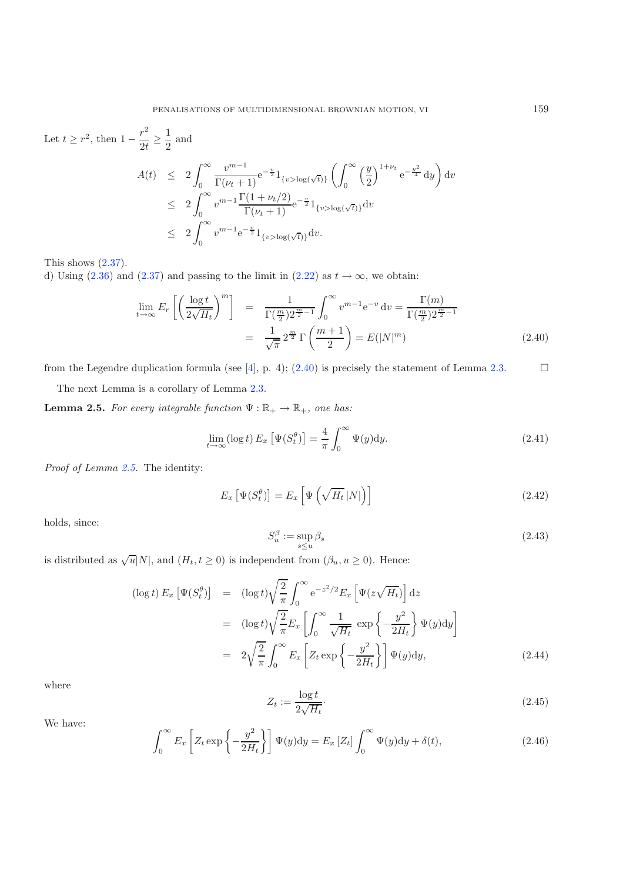<span id="page-7-0"></span>Let  $t \geq r^2$ , then  $1 - \frac{r^2}{2t} \geq \frac{1}{2}$  $\frac{1}{2}$  and  $A(t) \leq 2$  $\int^{\infty}$ 0  $\frac{v^{m-1}}{\Gamma(\nu_t+1)} e^{-\frac{v}{2}} 1_{\{v > \log(\sqrt{t})\}}$  $\int f^{\infty}$  $\theta$  $\ell^y$ 2  $\int^{1+\nu_t} e^{-\frac{y^2}{4}} dy$  $\overline{ }$  $\mathrm{d}v$  $\leq 2$  $\int^{\infty}$ 0  $v^{m-1} \frac{\Gamma(1 + \nu_t/2)}{\Gamma(\nu_t + 1)} e^{-\frac{v}{2}} 1_{\{v > \log(\sqrt{t})\}} dv$  $\leq 2$  $\int^{\infty}$ 0  $v^{m-1}e^{-\frac{v}{2}}1_{\{v>\log(\sqrt{t})\}}dv.$ 

This shows  $(2.37)$ .

d) Using [\(2.36\)](#page-6-4) and [\(2.37\)](#page-6-3) and passing to the limit in [\(2.22\)](#page-5-5) as  $t \to \infty$ , we obtain:

<span id="page-7-4"></span>
$$
\lim_{t \to \infty} E_r \left[ \left( \frac{\log t}{2\sqrt{H_t}} \right)^m \right] = \frac{1}{\Gamma(\frac{m}{2})2^{\frac{m}{2}-1}} \int_0^\infty v^{m-1} e^{-v} dv = \frac{\Gamma(m)}{\Gamma(\frac{m}{2})2^{\frac{m}{2}-1}} \n= \frac{1}{\sqrt{\pi}} 2^{\frac{m}{2}} \Gamma\left(\frac{m+1}{2}\right) = E(|N|^m)
$$
\n(2.40)

from the Legendre duplication formula (see  $[4]$ , p. 4); [\(2.40\)](#page-7-0) is precisely the statement of Lemma [2.3.](#page-4-0)  $\Box$ 

The next Lemma is a corollary of Lemma [2.3.](#page-4-0)

<span id="page-7-1"></span>**Lemma 2.5.** *For every integrable function*  $\Psi : \mathbb{R}_+ \to \mathbb{R}_+$ *, one has:* 

$$
\lim_{t \to \infty} (\log t) E_x \left[ \Psi(S_t^{\theta}) \right] = \frac{4}{\pi} \int_0^{\infty} \Psi(y) dy.
$$
\n(2.41)

*Proof of Lemma [2.5.](#page-7-1)* The identity:

$$
E_x\left[\Psi(S_t^{\theta})\right] = E_x\left[\Psi\left(\sqrt{H_t} \, |N|\right)\right]
$$
\n(2.42)

holds, since:

$$
S_u^{\beta} := \sup_{s \le u} \beta_s \tag{2.43}
$$

<span id="page-7-3"></span><span id="page-7-2"></span>is distributed as  $\sqrt{u}|N|$ , and  $(H_t, t \ge 0)$  is independent from  $(\beta_u, u \ge 0)$ . Hence:

$$
(\log t) E_x \left[ \Psi(S_t^{\theta}) \right] = (\log t) \sqrt{\frac{2}{\pi}} \int_0^{\infty} e^{-z^2/2} E_x \left[ \Psi(z \sqrt{H_t}) \right] dz
$$
  

$$
= (\log t) \sqrt{\frac{2}{\pi}} E_x \left[ \int_0^{\infty} \frac{1}{\sqrt{H_t}} \exp \left\{-\frac{y^2}{2H_t} \right\} \Psi(y) dy \right]
$$
  

$$
= 2 \sqrt{\frac{2}{\pi}} \int_0^{\infty} E_x \left[ Z_t \exp \left\{-\frac{y^2}{2H_t} \right\} \right] \Psi(y) dy,
$$
 (2.44)

where

$$
Z_t := \frac{\log t}{2\sqrt{H_t}}.\tag{2.45}
$$

We have:

$$
\int_0^\infty E_x \left[ Z_t \exp \left\{ -\frac{y^2}{2H_t} \right\} \right] \Psi(y) dy = E_x \left[ Z_t \right] \int_0^\infty \Psi(y) dy + \delta(t), \tag{2.46}
$$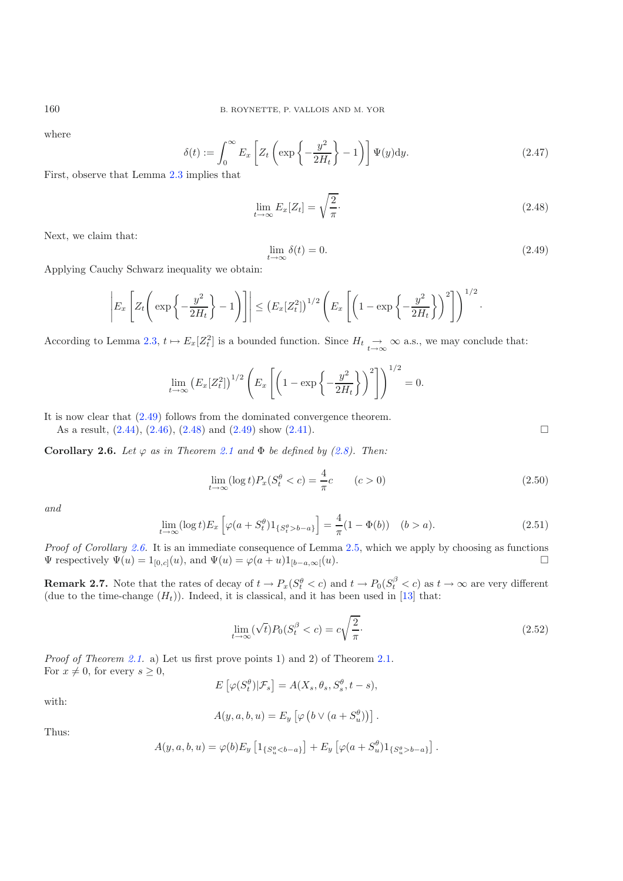where

<span id="page-8-1"></span><span id="page-8-0"></span>
$$
\delta(t) := \int_0^\infty E_x \left[ Z_t \left( \exp\left\{-\frac{y^2}{2H_t} \right\} - 1 \right) \right] \Psi(y) dy.
$$
\n(2.47)

First, observe that Lemma [2.3](#page-4-0) implies that

$$
\lim_{t \to \infty} E_x[Z_t] = \sqrt{\frac{2}{\pi}}.\tag{2.48}
$$

Next, we claim that:

$$
\lim_{t \to \infty} \delta(t) = 0. \tag{2.49}
$$

·

Applying Cauchy Schwarz inequality we obtain:

$$
\left| E_x \left[ Z_t \left( \exp \left\{ -\frac{y^2}{2H_t} \right\} - 1 \right) \right] \right| \leq \left( E_x [Z_t^2] \right)^{1/2} \left( E_x \left[ \left( 1 - \exp \left\{ -\frac{y^2}{2H_t} \right\} \right)^2 \right] \right)^{1/2}
$$

According to Lemma [2.3,](#page-4-0)  $t \mapsto E_x[Z_t^2]$  is a bounded function. Since  $H_t \underset{t \to \infty}{\to} \infty$  a.s., we may conclude that:

$$
\lim_{t \to \infty} (E_x[Z_t^2])^{1/2} \left( E_x \left[ \left( 1 - \exp \left\{ - \frac{y^2}{2H_t} \right\} \right)^2 \right] \right)^{1/2} = 0.
$$

It is now clear that [\(2.49\)](#page-8-0) follows from the dominated convergence theorem. As a result,  $(2.44)$ ,  $(2.46)$ ,  $(2.48)$  and  $(2.49)$  show  $(2.41)$ .

<span id="page-8-2"></span>**Corollary 2.6.** *Let*  $\varphi$  *as in Theorem [2.1](#page-3-0) and*  $\Phi$  *be defined by [\(2.8\)](#page-3-3). Then:* 

$$
\lim_{t \to \infty} (\log t) P_x(S_t^{\theta} < c) = \frac{4}{\pi} c \qquad (c > 0)
$$
\n
$$
\tag{2.50}
$$

*and*

$$
\lim_{t \to \infty} (\log t) E_x \left[ \varphi(a + S_t^{\theta}) 1_{\{S_t^{\theta} > b - a\}} \right] = \frac{4}{\pi} (1 - \Phi(b)) \quad (b > a).
$$
\n(2.51)

*Proof of Corollary [2.6.](#page-8-2)* It is an immediate consequence of Lemma [2.5,](#page-7-1) which we apply by choosing as functions  $\Psi$  respectively  $\Psi(u)=1_{[0,c]}(u)$ , and  $\Psi(u) = \varphi(a+u)1_{[b-a,\infty]}(u)$ .  $\Box$ 

**Remark 2.7.** Note that the rates of decay of  $t \to P_x(S_t^{\theta} < c)$  and  $t \to P_0(S_t^{\beta} < c)$  as  $t \to \infty$  are very different (due to the time-change  $(H_t)$ ). Indeed, it is classical, and it has been used in [\[13](#page-28-1)] that:

$$
\lim_{t \to \infty} (\sqrt{t}) P_0(S_t^{\beta} < c) = c \sqrt{\frac{2}{\pi}}. \tag{2.52}
$$

*Proof of Theorem [2.1.](#page-3-0)* a) Let us first prove points 1) and 2) of Theorem 2.1. For  $x \neq 0$ , for every  $s \geq 0$ ,

$$
E\left[\varphi(S_t^{\theta})|\mathcal{F}_s\right] = A(X_s, \theta_s, S_s^{\theta}, t - s),
$$

with:

$$
A(y, a, b, u) = E_y \left[ \varphi \left( b \vee (a + S_u^{\theta}) \right) \right].
$$

Thus:

$$
A(y, a, b, u) = \varphi(b) E_y \left[ 1_{\{S_u^{\theta} < b - a\}} \right] + E_y \left[ \varphi(a + S_u^{\theta}) 1_{\{S_u^{\theta} > b - a\}} \right].
$$

 $\hfill \square$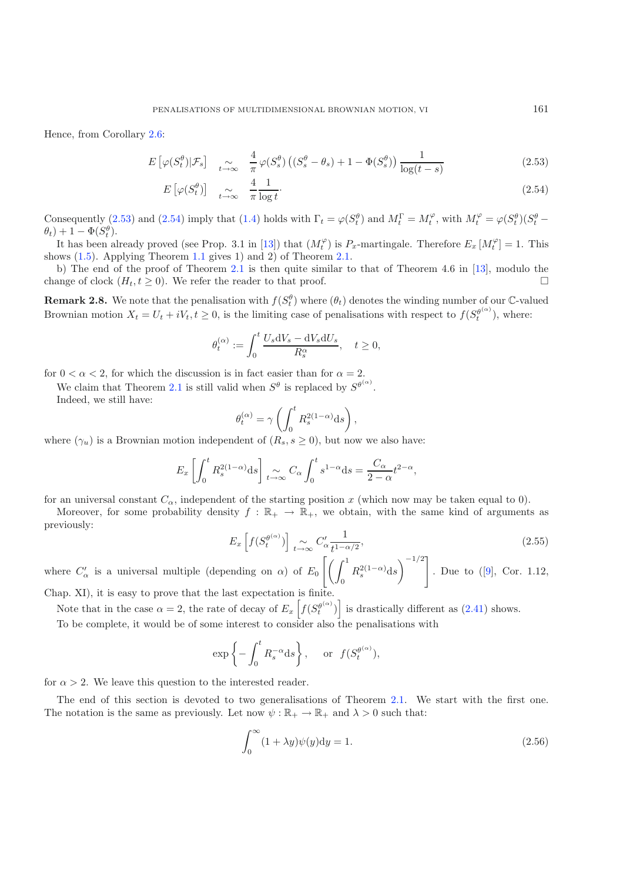<span id="page-9-1"></span>Hence, from Corollary [2.6:](#page-8-2)

$$
E\left[\varphi(S_t^{\theta})|\mathcal{F}_s\right] \quad \underset{t \to \infty}{\sim} \quad \frac{4}{\pi} \varphi(S_s^{\theta}) \left( (S_s^{\theta} - \theta_s) + 1 - \Phi(S_s^{\theta}) \right) \frac{1}{\log(t - s)} \tag{2.53}
$$

$$
E\left[\varphi(S_t^{\theta})\right] \underset{t \to \infty}{\sim} \frac{4}{\pi} \frac{1}{\log t}.
$$
\n(2.54)

Consequently [\(2.53\)](#page-9-1) and [\(2.54\)](#page-9-1) imply that [\(1.4\)](#page-1-4) holds with  $\Gamma_t = \varphi(S_t^{\theta})$  and  $M_t^{\Gamma} = M_t^{\varphi}$ , with  $M_t^{\varphi} = \varphi(S_t^{\theta})(S_t^{\theta} \theta_t$ ) + 1 –  $\Phi(S_t^{\theta})$ .

It has been already proved (see Prop. 3.1 in [\[13](#page-28-1)]) that  $(M_t^{\varphi})$  is  $P_x$ -martingale. Therefore  $E_x$   $[M_t^{\varphi}] = 1$ . This shows [\(1.5\)](#page-1-5). Applying Theorem [1.1](#page-1-2) gives 1) and 2) of Theorem [2.1.](#page-3-0)

b) The end of the proof of Theorem [2.1](#page-3-0) is then quite similar to that of Theorem 4.6 in [\[13\]](#page-28-1), modulo the change of clock  $(H_t, t \geq 0)$ . We refer the reader to that proof.

<span id="page-9-0"></span>**Remark 2.8.** We note that the penalisation with  $f(S_t^{\theta})$  where  $(\theta_t)$  denotes the winding number of our C-valued Brownian motion  $X_t = U_t + iV_t, t \ge 0$ , is the limiting case of penalisations with respect to  $f(S_t^{\theta^{(\alpha)}})$ , where:

$$
\theta_t^{(\alpha)} := \int_0^t \frac{U_s \mathrm{d} V_s - \mathrm{d} V_s \mathrm{d} U_s}{R_s^{\alpha}}, \quad t \ge 0,
$$

for  $0 < \alpha < 2$ , for which the discussion is in fact easier than for  $\alpha = 2$ .

We claim that Theorem [2.1](#page-3-0) is still valid when  $S^{\theta}$  is replaced by  $S^{\theta^{(\alpha)}}$ .

Indeed, we still have:

$$
\theta_t^{(\alpha)} = \gamma \left( \int_0^t R_s^{2(1-\alpha)} \mathrm{d} s \right),
$$

where  $(\gamma_u)$  is a Brownian motion independent of  $(R_s, s \geq 0)$ , but now we also have:

$$
E_x \left[ \int_0^t R_s^{2(1-\alpha)} ds \right] \underset{t \to \infty}{\sim} C_\alpha \int_0^t s^{1-\alpha} ds = \frac{C_\alpha}{2-\alpha} t^{2-\alpha},
$$

for an universal constant  $C_{\alpha}$ , independent of the starting position x (which now may be taken equal to 0).

Moreover, for some probability density  $f : \mathbb{R}_+ \to \mathbb{R}_+$ , we obtain, with the same kind of arguments as previously:

$$
E_x\left[f(S_t^{\theta^{(\alpha)}})\right] \underset{t \to \infty}{\sim} C'_\alpha \frac{1}{t^{1-\alpha/2}},\tag{2.55}
$$

where  $C'_\alpha$  is a universal multiple (depending on  $\alpha$ ) of  $E_0$  $\lceil \int_1^1$  $R_s^{2(1-\alpha)}$ ds  $\setminus$ <sup>-1/2</sup>] . Due to ([\[9\]](#page-28-14), Cor. 1.12,

Chap. XI), it is easy to prove that the last expectation is finite.

Note that in the case  $\alpha = 2$ , the rate of decay of  $E_x \left[ f(S_t^{\theta^{(\alpha)}}) \right]$  is drastically different as [\(2.41\)](#page-7-4) shows.

To be complete, it would be of some interest to consider also the penalisations with

<span id="page-9-2"></span>
$$
\exp\left\{-\int_0^t R_s^{-\alpha} ds\right\}
$$
, or  $f(S_t^{\theta^{(\alpha)}})$ ,

for  $\alpha > 2$ . We leave this question to the interested reader.

The end of this section is devoted to two generalisations of Theorem [2.1.](#page-3-0) We start with the first one. The notation is the same as previously. Let now  $\psi : \mathbb{R}_+ \to \mathbb{R}_+$  and  $\lambda > 0$  such that:

$$
\int_0^\infty (1 + \lambda y)\psi(y) \mathrm{d}y = 1. \tag{2.56}
$$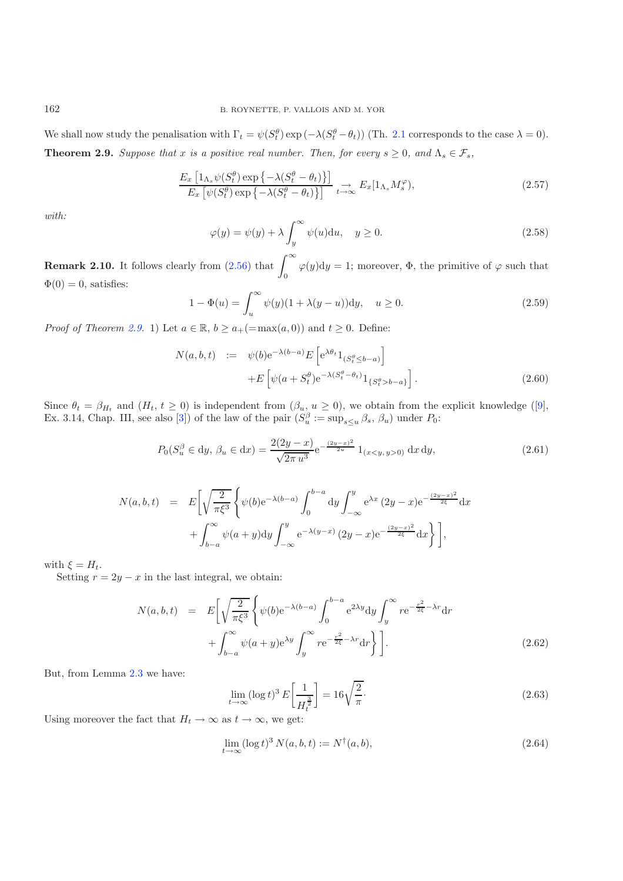<span id="page-10-2"></span><span id="page-10-0"></span>We shall now study the penalisation with  $\Gamma_t = \psi(S_t^{\theta}) \exp(-\lambda(S_t^{\theta} - \theta_t))$  (Th. [2.1](#page-3-0) corresponds to the case  $\lambda = 0$ ). **Theorem 2.9.** *Suppose that* x *is a positive real number. Then, for every*  $s \geq 0$ *, and*  $\Lambda_s \in \mathcal{F}_s$ *,* 

$$
\frac{E_x \left[1_{\Lambda_s} \psi(S_t^{\theta}) \exp \left\{-\lambda (S_t^{\theta} - \theta_t)\right\}\right]}{E_x \left[\psi(S_t^{\theta}) \exp \left\{-\lambda (S_t^{\theta} - \theta_t)\right\}\right]} \underset{t \to \infty}{\to} E_x \left[1_{\Lambda_s} M_s^{\varphi}\right),\tag{2.57}
$$

*with:*

$$
\varphi(y) = \psi(y) + \lambda \int_{y}^{\infty} \psi(u) \mathrm{d}u, \quad y \ge 0.
$$
\n(2.58)

**Remark 2.10.** It follows clearly from  $(2.56)$  that  $\int_{-\infty}^{\infty}$ 0  $\varphi(y)dy = 1$ ; moreover,  $\Phi$ , the primitive of  $\varphi$  such that  $\Phi(0) = 0$ , satisfies:

$$
1 - \Phi(u) = \int_{u}^{\infty} \psi(y)(1 + \lambda(y - u)) \, dy, \quad u \ge 0.
$$
 (2.59)

*Proof of Theorem [2.9.](#page-10-0)* 1) Let  $a \in \mathbb{R}$ ,  $b \ge a_{+}(\text{max}(a, 0))$  and  $t \ge 0$ . Define:

$$
N(a,b,t) := \psi(b)e^{-\lambda(b-a)}E\left[e^{\lambda\theta_t}1_{(S_t^{\theta}\leq b-a)}\right]
$$

$$
+E\left[\psi(a+S_t^{\theta})e^{-\lambda(S_t^{\theta}-\theta_t)}1_{\{S_t^{\theta}>b-a\}}\right].
$$
(2.60)

Since  $\theta_t = \beta_{H_t}$  and  $(H_t, t \ge 0)$  is independent from  $(\beta_u, u \ge 0)$ , we obtain from the explicit knowledge ([\[9\]](#page-28-14), Ex. 3.14, Chap. III, see also [\[3\]](#page-28-16)) of the law of the pair  $(S_u^{\beta} := \sup_{s \le u} \beta_s, \beta_u)$  under  $P_0$ :

$$
P_0(S_u^{\beta} \in dy, \beta_u \in dx) = \frac{2(2y - x)}{\sqrt{2\pi u^3}} e^{-\frac{(2y - x)^2}{2u}} 1_{(x < y, y > 0)} dx dy,
$$
\n(2.61)

$$
N(a, b, t) = E\left[\sqrt{\frac{2}{\pi\xi^3}} \left\{\psi(b)e^{-\lambda(b-a)} \int_0^{b-a} dy \int_{-\infty}^y e^{\lambda x} (2y-x)e^{-\frac{(2y-x)^2}{2\xi}} dx + \int_{b-a}^{\infty} \psi(a+y) dy \int_{-\infty}^y e^{-\lambda(y-x)} (2y-x)e^{-\frac{(2y-x)^2}{2\xi}} dx\right\}\right],
$$

with  $\xi = H_t$ .

Setting  $r = 2y - x$  in the last integral, we obtain:

<span id="page-10-3"></span>
$$
N(a,b,t) = E\left[\sqrt{\frac{2}{\pi\xi^3}}\left\{\psi(b)e^{-\lambda(b-a)}\int_0^{b-a} e^{2\lambda y}dy \int_y^{\infty} re^{-\frac{r^2}{2\xi}-\lambda r}dr + \int_{b-a}^{\infty} \psi(a+y)e^{\lambda y}\int_y^{\infty} re^{-\frac{r^2}{2\xi}-\lambda r}dr\right\}\right].
$$
\n(2.62)

But, from Lemma [2.3](#page-4-0) we have:

$$
\lim_{t \to \infty} (\log t)^3 E\left[\frac{1}{H_t^{\frac{3}{2}}}\right] = 16\sqrt{\frac{2}{\pi}}.\tag{2.63}
$$

Using moreover the fact that  $H_t \to \infty$  as  $t \to \infty$ , we get:

$$
\lim_{t \to \infty} (\log t)^3 N(a, b, t) := N^{\dagger}(a, b), \tag{2.64}
$$

<span id="page-10-1"></span>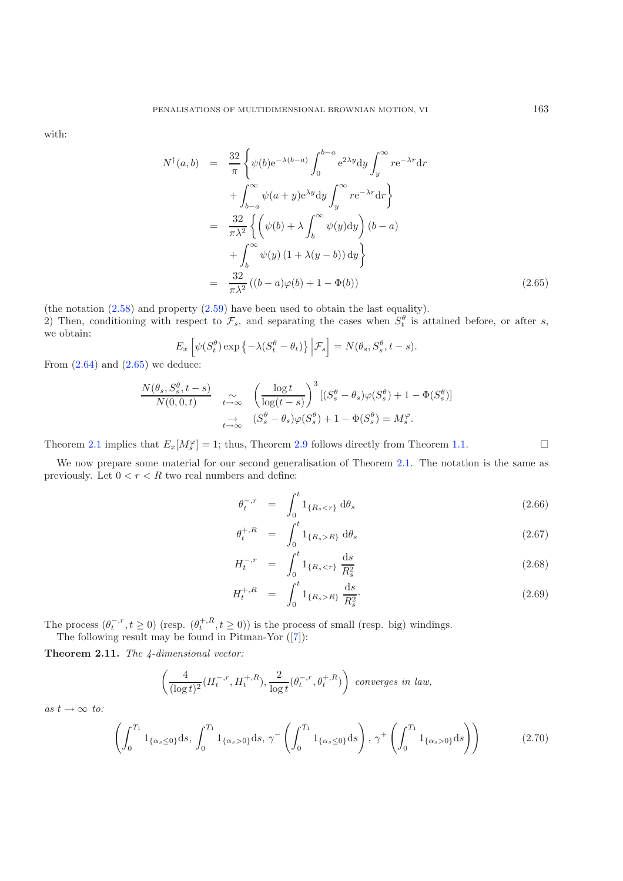<span id="page-11-0"></span>with:

$$
N^{\dagger}(a,b) = \frac{32}{\pi} \left\{ \psi(b)e^{-\lambda(b-a)} \int_0^{b-a} e^{2\lambda y} dy \int_y^{\infty} re^{-\lambda r} dr + \int_{b-a}^{\infty} \psi(a+y)e^{\lambda y} dy \int_y^{\infty} re^{-\lambda r} dr \right\} = \frac{32}{\pi \lambda^2} \left\{ \left( \psi(b) + \lambda \int_b^{\infty} \psi(y) dy \right) (b-a) + \int_b^{\infty} \psi(y) (1 + \lambda(y-b)) dy \right\} = \frac{32}{\pi \lambda^2} ((b-a)\varphi(b) + 1 - \Phi(b))
$$
(2.65)

(the notation [\(2.58\)](#page-10-1) and property [\(2.59\)](#page-10-2) have been used to obtain the last equality).

2) Then, conditioning with respect to  $\mathcal{F}_s$ , and separating the cases when  $S_t^{\theta}$  is attained before, or after s, we obtain:

$$
E_x \left[ \psi(S_t^{\theta}) \exp \left\{-\lambda (S_t^{\theta} - \theta_t) \right\} \Big| \mathcal{F}_s \right] = N(\theta_s, S_s^{\theta}, t - s).
$$

From  $(2.64)$  and  $(2.65)$  we deduce:

$$
\frac{N(\theta_s, S_s^{\theta}, t-s)}{N(0,0,t)} \quad \underset{t \to \infty}{\sim} \quad \left(\frac{\log t}{\log(t-s)}\right)^3 \left[ (S_s^{\theta} - \theta_s) \varphi(S_s^{\theta}) + 1 - \Phi(S_s^{\theta}) \right]
$$
\n
$$
\underset{t \to \infty}{\to} \quad (S_s^{\theta} - \theta_s) \varphi(S_s^{\theta}) + 1 - \Phi(S_s^{\theta}) = M_s^{\varphi}.
$$

Theorem [2.1](#page-3-0) implies that  $E_x[M_s^{\varphi}] = 1$ ; thus, Theorem [2.9](#page-10-0) follows directly from Theorem [1.1.](#page-1-2)  $\Box$  $\hfill \square$ 

We now prepare some material for our second generalisation of Theorem [2.1.](#page-3-0) The notation is the same as previously. Let  $0 < r < R$  two real numbers and define:

$$
\theta_t^{-,r} = \int_0^t \mathbf{1}_{\{R_s < r\}} \, \mathrm{d}\theta_s \tag{2.66}
$$

$$
\theta_t^{+,R} = \int_0^t 1_{\{R_s > R\}} d\theta_s \tag{2.67}
$$

$$
H_t^{-,r} = \int_0^t 1_{\{R_s < r\}} \frac{\mathrm{d}s}{R_s^2} \tag{2.68}
$$

$$
H_t^{+,R} = \int_0^t 1_{\{R_s > R\}} \frac{ds}{R_s^2}.
$$
\n(2.69)

The process  $(\theta_t^{-,r}, t \ge 0)$  (resp.  $(\theta_t^{+,R}, t \ge 0)$ ) is the process of small (resp. big) windings. The following result may be found in Pitman-Yor ([\[7](#page-28-12)]):

<span id="page-11-1"></span>**Theorem 2.11.** *The 4-dimensional vector:*

$$
\left(\frac{4}{(\log t)^2}(H^{-,r}_t,H^{+,R}_t),\frac{2}{\log t}(\theta^{-,r}_t,\theta^{+,R}_t)\right)\ converges\ in\ law,
$$

 $as t \rightarrow \infty to:$ 

$$
\left(\int_0^{T_1} 1_{\{\alpha_s \le 0\}} ds, \int_0^{T_1} 1_{\{\alpha_s > 0\}} ds, \gamma \left(\int_0^{T_1} 1_{\{\alpha_s \le 0\}} ds\right), \gamma \left(\int_0^{T_1} 1_{\{\alpha_s > 0\}} ds\right)\right) \tag{2.70}
$$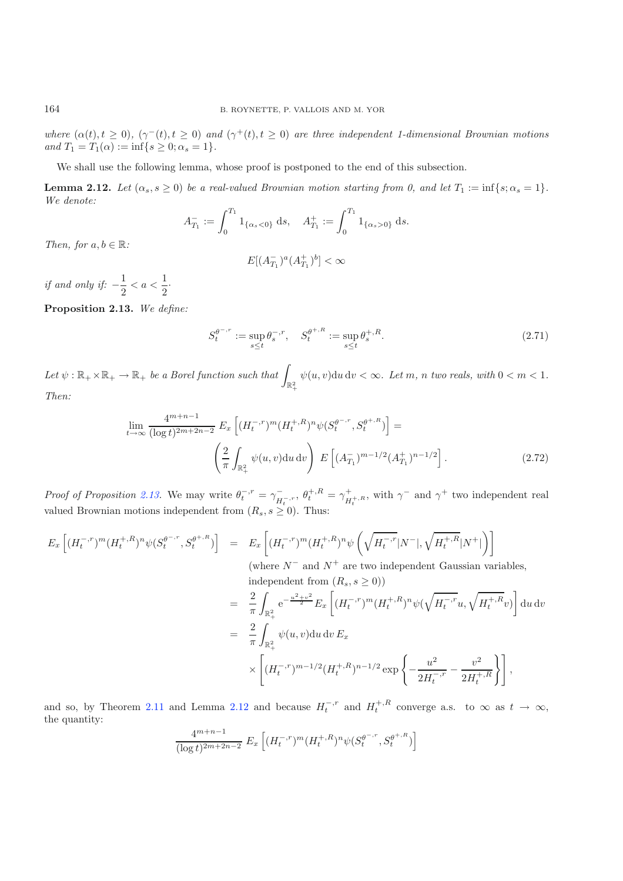*where*  $(\alpha(t), t \geq 0)$ ,  $(\gamma^{-}(t), t \geq 0)$  *and*  $(\gamma^{+}(t), t \geq 0)$  *are three independent 1-dimensional Brownian motions and*  $T_1 = T_1(\alpha) := \inf\{s \geq 0; \alpha_s = 1\}.$ 

We shall use the following lemma, whose proof is postponed to the end of this subsection.

<span id="page-12-1"></span>**Lemma 2.12.** *Let*  $(\alpha_s, s \geq 0)$  *be a real-valued Brownian motion starting from 0, and let*  $T_1 := \inf\{s; \alpha_s = 1\}.$ *We denote:*

$$
A_{T_1}^- := \int_0^{T_1} 1_{\{\alpha_s < 0\}} \, \mathrm{d}s, \quad A_{T_1}^+ := \int_0^{T_1} 1_{\{\alpha_s > 0\}} \, \mathrm{d}s.
$$

*Then, for*  $a, b \in \mathbb{R}$ *:* 

$$
E[(A_{T_1}^-)^a (A_{T_1}^+)^b] < \infty
$$

*if and only if:*  $-\frac{1}{2} < a < \frac{1}{2}$  $\frac{1}{2}$ .

<span id="page-12-0"></span>**Proposition 2.13.** *We define:*

$$
S_t^{\theta^{-,r}} := \sup_{s \le t} \theta_s^{-,r}, \quad S_t^{\theta^{+,R}} := \sup_{s \le t} \theta_s^{+,R}.
$$
 (2.71)

<span id="page-12-2"></span>Let  $\psi : \mathbb{R}_+ \times \mathbb{R}_+ \to \mathbb{R}_+$  be a Borel function such that  $\int_{\mathbb{R}_+^2}$  $\psi(u, v)$ du dv  $< \infty$ *. Let* m, n *two reals, with*  $0 < m < 1$ *. Then:*

$$
\lim_{t \to \infty} \frac{4^{m+n-1}}{(\log t)^{2m+2n-2}} E_x \left[ (H_t^{-,r})^m (H_t^{+,R})^n \psi(S_t^{\theta^{-,r}}, S_t^{\theta^{+,R}}) \right] =
$$
\n
$$
\left( \frac{2}{\pi} \int_{\mathbb{R}_+^2} \psi(u,v) \mathrm{d}u \, \mathrm{d}v \right) E \left[ (A_{T_1}^{-})^{m-1/2} (A_{T_1}^{+})^{n-1/2} \right]. \tag{2.72}
$$

*Proof of Proposition [2.13.](#page-12-0)* We may write  $\theta_t^{-,r} = \gamma_{H_t^{-,r}}^{-,}$ ,  $\theta_t^{+,R} = \gamma_{H_t^{+,R}}^{+,}$ , with  $\gamma^{-}$  and  $\gamma^{+}$  two independent real valued Brownian motions independent from  $(R_s, s \geq 0)$ . Thus:

$$
E_x\left[ (H_t^{-,r})^m (H_t^{+,R})^n \psi(S_t^{\theta^{-,r}}, S_t^{\theta^{+,R}}) \right] = E_x\left[ (H_t^{-,r})^m (H_t^{+,R})^n \psi\left(\sqrt{H_t^{-,r}} |N^-|, \sqrt{H_t^{+,R}} |N^+| \right) \right]
$$
\n(where  $N^-$  and  $N^+$  are two independent Gaussian variables,  
\nindependent from  $(R_s, s \ge 0)$ )\n
$$
= \frac{2}{\pi} \int_{\mathbb{R}_+^2} e^{-\frac{u^2+v^2}{2}} E_x\left[ (H_t^{-,r})^m (H_t^{+,R})^n \psi(\sqrt{H_t^{-,r}} u, \sqrt{H_t^{+,R}} v) \right] du dv
$$
\n
$$
= \frac{2}{\pi} \int_{\mathbb{R}_+^2} \psi(u,v) du dv E_x
$$
\n
$$
\times \left[ (H_t^{-,r})^{m-1/2} (H_t^{+,R})^{n-1/2} \exp\left\{-\frac{u^2}{2H_t^{-,r}} - \frac{v^2}{2H_t^{+,R}} \right\} \right],
$$

and so, by Theorem [2.11](#page-11-1) and Lemma [2.12](#page-12-1) and because  $H_t^{-,r}$  and  $H_t^{+,R}$  converge a.s. to  $\infty$  as  $t \to \infty$ , the quantity:

$$
\frac{4^{m+n-1}}{(\log t)^{2m+2n-2}} E_x \left[ (H_t^{-,r})^m (H_t^{+,R})^n \psi(S_t^{\theta^{-,r}}, S_t^{\theta^{+,R}}) \right]
$$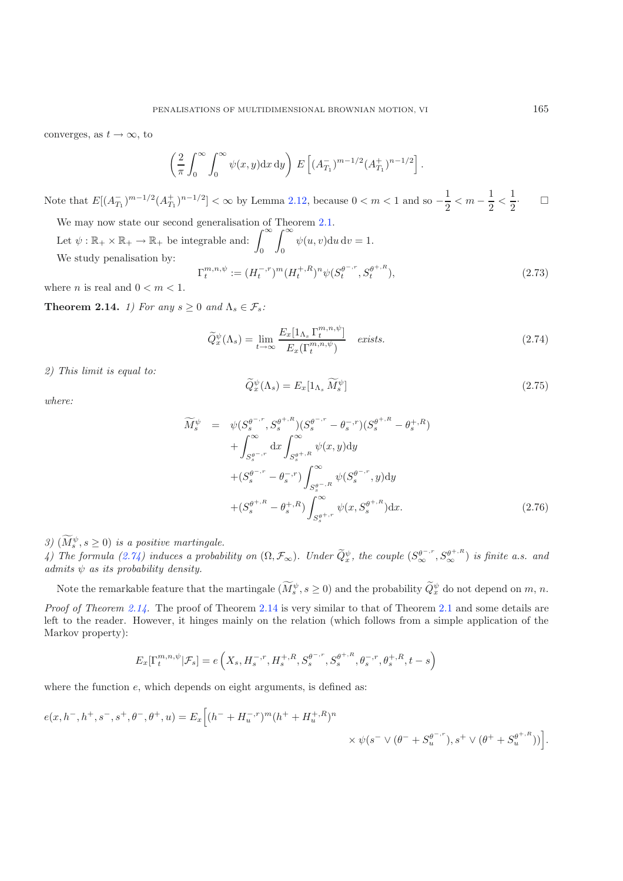converges, as  $t \to \infty$ , to

<span id="page-13-1"></span>
$$
\left(\frac{2}{\pi}\int_0^{\infty}\int_0^{\infty}\psi(x,y)\mathrm{d}x\,\mathrm{d}y\right)\,E\left[(A_{T_1}^-)^{m-1/2}(A_{T_1}^+)^{n-1/2}\right].
$$

Note that  $E[(A_{T_1}^-)^{m-1/2}(A_{T_1}^+)^{n-1/2}] < \infty$  by Lemma [2.12,](#page-12-1) because  $0 < m < 1$  and so  $-\frac{1}{2} < m - \frac{1}{2} < \frac{1}{2}$ 2  $\cdot$  -  $\Box$ 

We may now state our second generalisation of Theorem [2.1.](#page-3-0)

Let  $\psi : \mathbb{R}_+ \times \mathbb{R}_+ \to \mathbb{R}_+$  be integrable and:  $\int_0^\infty$  $\int_0^\infty$ 0  $\psi(u, v) du dv = 1.$ We study penalisation by:  $\Gamma_t^{m,n,\psi} := (H_t^{-,r})^m (H_t^{+,R})^n \psi(S_t^{\theta^{-,r}}, S_t^{\theta^{+,R}}),$ (2.73)

<span id="page-13-0"></span>where *n* is real and  $0 < m < 1$ .

**Theorem 2.14.** *1)* For any  $s \geq 0$  and  $\Lambda_s \in \mathcal{F}_s$ :

$$
\widetilde{Q}_{x}^{\psi}(\Lambda_{s}) = \lim_{t \to \infty} \frac{E_{x}[1_{\Lambda_{s}} \Gamma_{t}^{m,n,\psi}]}{E_{x}(\Gamma_{t}^{m,n,\psi})} \quad exists. \tag{2.74}
$$

*2) This limit is equal to:*

$$
\widetilde{Q}_{x}^{\psi}(\Lambda_{s}) = E_{x}[1_{\Lambda_{s}}\widetilde{M}_{s}^{\psi}]
$$
\n(2.75)

*where:*

$$
\widetilde{M}_{s}^{\psi} = \psi(S_{s}^{\theta^{-,r}}, S_{s}^{\theta^{+,R}})(S_{s}^{\theta^{-,r}} - \theta_{s}^{-,r})(S_{s}^{\theta^{+,R}} - \theta_{s}^{+,R}) \n+ \int_{S_{s}^{\theta^{-,r}}}^{\infty} dx \int_{S_{s}^{\theta^{+,R}}}^{\infty} \psi(x, y) dy \n+ (S_{s}^{\theta^{-,r}} - \theta_{s}^{-,r}) \int_{S_{s}^{\theta^{-,R}}}^{\infty} \psi(S_{s}^{\theta^{-,r}}, y) dy \n+ (S_{s}^{\theta^{+,R}} - \theta_{s}^{+,R}) \int_{S_{s}^{\theta^{+,r}}}^{\infty} \psi(x, S_{s}^{\theta^{+,R}}) dx.
$$
\n(2.76)

*3*)  $(M_s^{\psi}, s \ge 0)$  *is a positive martingale.* 

*4)* The formula [\(2.74\)](#page-13-1) induces a probability on  $(\Omega, \mathcal{F}_{\infty})$ . Under  $\tilde{Q}_{x}^{\psi}$ , the couple  $(S_{\infty}^{\theta^{-,r}}, S_{\infty}^{\theta^{+,R}})$  is finite a.s. and *admits* ψ *as its probability density.*

Note the remarkable feature that the martingale  $(M_s^{\psi}, s \ge 0)$  and the probability  $\tilde{Q}_x^{\psi}$  do not depend on m, n.

*Proof of Theorem [2.14.](#page-13-0)* The proof of Theorem [2.14](#page-13-0) is very similar to that of Theorem [2.1](#page-3-0) and some details are left to the reader. However, it hinges mainly on the relation (which follows from a simple application of the Markov property):

$$
E_x[\Gamma_t^{m,n,\psi} | \mathcal{F}_s] = e\left(X_s, H_s^{-,r}, H_s^{+,R}, S_s^{\theta^{-,r}}, S_s^{\theta^{+,R}}, \theta_s^{-,r}, \theta_s^{+,R}, t-s\right)
$$

where the function  $e$ , which depends on eight arguments, is defined as:

$$
e(x, h^-, h^+, s^-, s^+, \theta^-, \theta^+, u) = E_x \Big[ (h^- + H_u^{-,r})^m (h^+ + H_u^{+, R})^n
$$
  
\$\times \psi(s^- \vee (\theta^- + S\_u^{\theta^{-,r}}), s^+ \vee (\theta^+ + S\_u^{\theta^{+, R}})) \Big].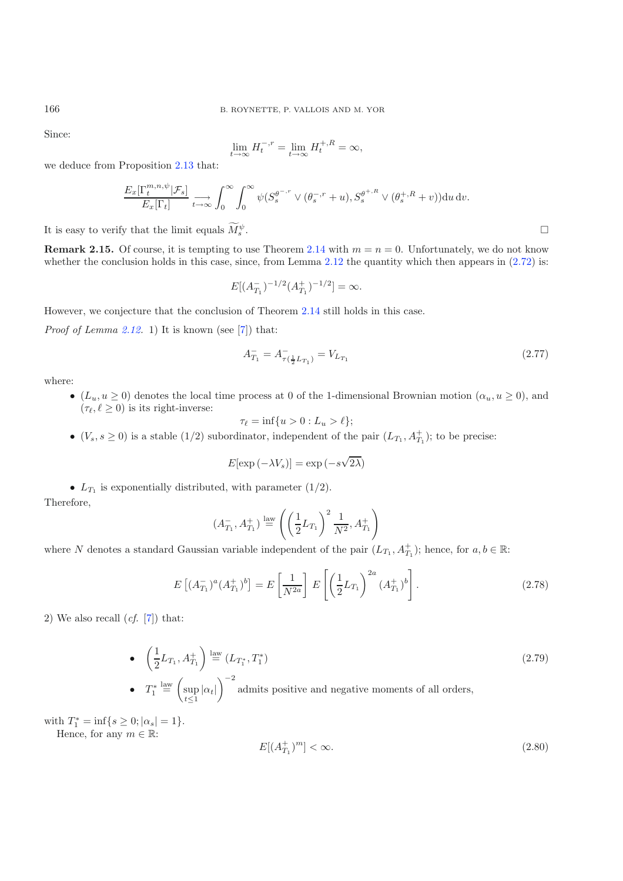Since:

$$
\lim_{t \to \infty} H_t^{-,r} = \lim_{t \to \infty} H_t^{+,R} = \infty,
$$

we deduce from Proposition [2.13](#page-12-0) that:

$$
\frac{E_x[\Gamma_t^{m,n,\psi}|\mathcal{F}_s]}{E_x[\Gamma_t]} \xrightarrow[t \to \infty]{} \int_0^\infty \int_0^\infty \psi(S_s^{\theta^{-,r}} \vee (\theta_s^{-,r} + u), S_s^{\theta^{+,R}} \vee (\theta_s^{+,R} + v)) du dv.
$$

It is easy to verify that the limit equals  $\tilde{M}_s^{\psi}$  $\mathcal{L}$  s .

**Remark 2.15.** Of course, it is tempting to use Theorem [2.14](#page-13-0) with  $m = n = 0$ . Unfortunately, we do not know whether the conclusion holds in this case, since, from Lemma [2.12](#page-12-1) the quantity which then appears in  $(2.72)$  is:

$$
E[(A_{T_1}^-)^{-1/2}(A_{T_1}^+)^{-1/2}] = \infty.
$$

However, we conjecture that the conclusion of Theorem [2.14](#page-13-0) still holds in this case.

*Proof of Lemma [2.12.](#page-12-1)* 1) It is known (see [\[7](#page-28-12)]) that:

$$
A_{T_1}^- = A_{\tau(\frac{1}{2}L_{T_1})}^- = V_{L_{T_1}} \tag{2.77}
$$

where:

•  $(L_u, u \ge 0)$  denotes the local time process at 0 of the 1-dimensional Brownian motion  $(\alpha_u, u \ge 0)$ , and  $(\tau_{\ell}, \ell \geq 0)$  is its right-inverse:

$$
\tau_{\ell} = \inf\{u > 0 : L_u > \ell\};
$$

•  $(V_s, s \ge 0)$  is a stable  $(1/2)$  subordinator, independent of the pair  $(L_{T_1}, A_{T_1}^+)$ ; to be precise:

$$
E[\exp(-\lambda V_s)] = \exp(-s\sqrt{2\lambda})
$$

•  $L_{T_1}$  is exponentially distributed, with parameter (1/2). Therefore,

$$
(A_{T_1}^-,A_{T_1}^+) \stackrel{\text{law}}{=} \left( \left(\frac{1}{2}L_{T_1}\right)^2 \frac{1}{N^2}, A_{T_1}^+ \right)
$$

where N denotes a standard Gaussian variable independent of the pair  $(L_{T_1}, A_{T_1}^+)$ ; hence, for  $a, b \in \mathbb{R}$ :

$$
E\left[ (A_{T_1}^-)^a (A_{T_1}^+)^b \right] = E\left[ \frac{1}{N^{2a}} \right] E\left[ \left( \frac{1}{2} L_{T_1} \right)^{2a} (A_{T_1}^+)^b \right]. \tag{2.78}
$$

<span id="page-14-0"></span>2) We also recall  $(cf. [7])$  $(cf. [7])$  $(cf. [7])$  that:

• 
$$
\left(\frac{1}{2}L_{T_1}, A_{T_1}^+\right) \stackrel{\text{law}}{=} (L_{T_1^*}, T_1^*)
$$
 (2.79)  
\n•  $T_1^* \stackrel{\text{law}}{=} \left(\sup_{t \le 1} |\alpha_t|\right)^{-2}$  admits positive and negative moments of all orders,

with  $T_1^* = \inf\{s \ge 0; |\alpha_s| = 1\}.$ 

Hence, for any  $m \in \mathbb{R}$ :

$$
E[(A_{T_1}^+)^m] < \infty. \tag{2.80}
$$

 $\Box$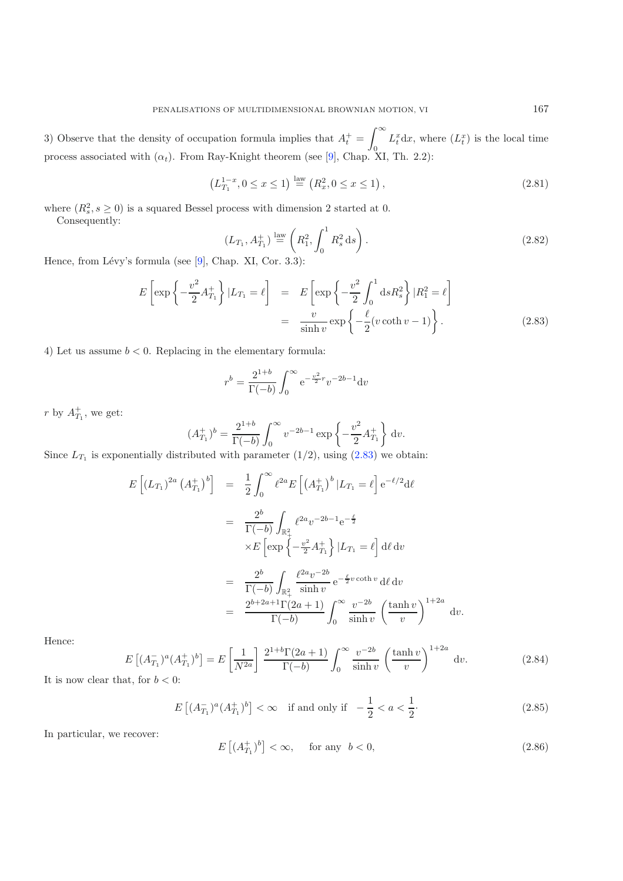3) Observe that the density of occupation formula implies that  $A_t^+$  =  $\int^{\infty}$ 0  $L_t^x$ dx, where  $(L_t^x)$  is the local time process associated with  $(\alpha_t)$ . From Ray-Knight theorem (see [\[9\]](#page-28-14), Chap. XI, Th. 2.2):

$$
\left(L_{T_1}^{1-x}, 0 \le x \le 1\right) \stackrel{\text{law}}{=} \left(R_x^2, 0 \le x \le 1\right),\tag{2.81}
$$

where  $(R_s^2, s \ge 0)$  is a squared Bessel process with dimension 2 started at 0. Consequently:

$$
(L_{T_1}, A_{T_1}^+) \stackrel{\text{law}}{=} \left( R_1^2, \int_0^1 R_s^2 \, \text{d}s \right). \tag{2.82}
$$

<span id="page-15-0"></span>Hence, from Lévy's formula (see  $[9]$ , Chap. XI, Cor. 3.3):

$$
E\left[\exp\left\{-\frac{v^2}{2}A_{T_1}^+\right\}|L_{T_1} = \ell\right] = E\left[\exp\left\{-\frac{v^2}{2}\int_0^1 ds R_s^2\right\}|R_1^2 = \ell\right]
$$

$$
= \frac{v}{\sinh v} \exp\left\{-\frac{\ell}{2}(v\coth v - 1)\right\}.
$$
(2.83)

4) Let us assume  $b < 0$ . Replacing in the elementary formula:

$$
r^{b} = \frac{2^{1+b}}{\Gamma(-b)} \int_{0}^{\infty} e^{-\frac{v^{2}}{2}r} v^{-2b-1} dv
$$

r by  $A_{T_1}^+$ , we get:

$$
(A_{T_1}^+)^b = \frac{2^{1+b}}{\Gamma(-b)} \int_0^\infty v^{-2b-1} \exp\left\{-\frac{v^2}{2} A_{T_1}^+\right\} dv.
$$

Since  $L_{T_1}$  is exponentially distributed with parameter  $(1/2)$ , using  $(2.83)$  we obtain:

<span id="page-15-1"></span>
$$
E\left[ (L_{T_1})^{2a} (A_{T_1}^+)^b \right] = \frac{1}{2} \int_0^\infty \ell^{2a} E\left[ (A_{T_1}^+)^b | L_{T_1} = \ell \right] e^{-\ell/2} d\ell
$$
  

$$
= \frac{2^b}{\Gamma(-b)} \int_{\mathbb{R}^2_+} \ell^{2a} v^{-2b-1} e^{-\frac{\ell}{2}}
$$
  

$$
\times E\left[ \exp\left\{ -\frac{v^2}{2} A_{T_1}^+ \right\} | L_{T_1} = \ell \right] d\ell dv
$$
  

$$
= \frac{2^b}{\Gamma(-b)} \int_{\mathbb{R}^2_+} \frac{\ell^{2a} v^{-2b}}{\sinh v} e^{-\frac{\ell}{2} v \coth v} d\ell dv
$$
  

$$
= \frac{2^{b+2a+1} \Gamma(2a+1)}{\Gamma(-b)} \int_0^\infty \frac{v^{-2b}}{\sinh v} \left( \frac{\tanh v}{v} \right)^{1+2a} dv.
$$

<span id="page-15-2"></span>Hence:

$$
E\left[ (A_{T_1}^{\perp})^a (A_{T_1}^{\perp})^b \right] = E\left[ \frac{1}{N^{2a}} \right] \frac{2^{1+b} \Gamma(2a+1)}{\Gamma(-b)} \int_0^\infty \frac{v^{-2b}}{\sinh v} \left( \frac{\tanh v}{v} \right)^{1+2a} dv. \tag{2.84}
$$
  
It is now clear that, for  $b < 0$ :

$$
E\left[ (A_{T_1}^-)^a (A_{T_1}^+)^b \right] < \infty \quad \text{if and only if} \quad -\frac{1}{2} < a < \frac{1}{2}.\tag{2.85}
$$

In particular, we recover:

$$
E\left[\left(A_{T_1}^+\right)^b\right]<\infty,\quad\text{ for any }\;b<0,\tag{2.86}
$$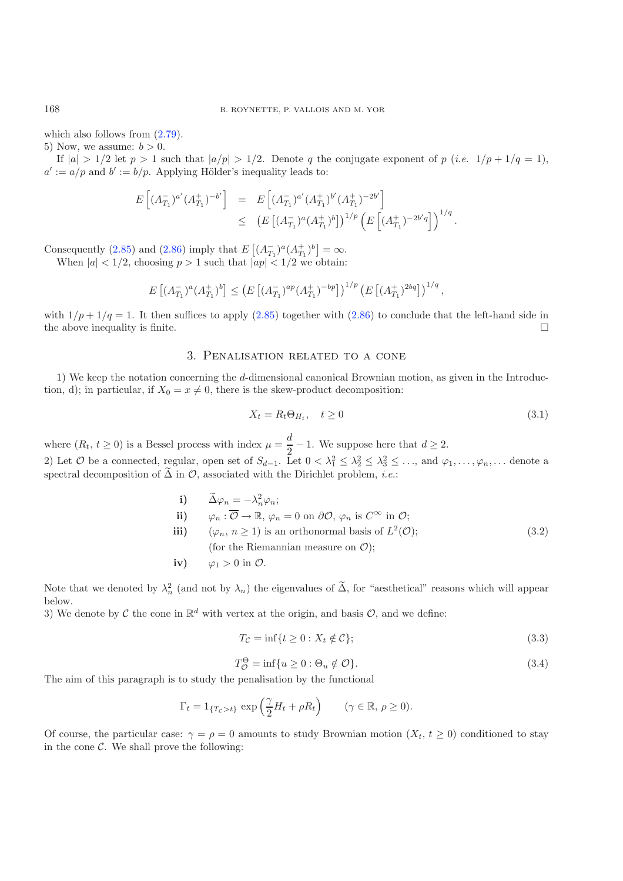which also follows from  $(2.79)$ .

5) Now, we assume:  $b > 0$ .

If  $|a| > 1/2$  let  $p > 1$  such that  $|a/p| > 1/2$ . Denote q the conjugate exponent of p (*i.e.*  $1/p + 1/q = 1$ ),  $a' := a/p$  and  $b' := b/p$ . Applying Hölder's inequality leads to:

$$
E\left[ (A_{T_1}^-)^{a'} (A_{T_1}^+)^{-b'} \right] = E\left[ (A_{T_1}^-)^{a'} (A_{T_1}^+)^{b'} (A_{T_1}^+)^{-2b'} \right]
$$
  

$$
\leq (E\left[ (A_{T_1}^-)^a (A_{T_1}^+)^b \right])^{1/p} \left( E\left[ (A_{T_1}^+)^{-2b'q} \right] \right)^{1/q}.
$$

Consequently [\(2.85\)](#page-15-1) and [\(2.86\)](#page-15-2) imply that  $E\left[ (A_{T_1}^-)^a (A_{T_1}^+)^b \right] = \infty$ .

When  $|a| < 1/2$ , choosing  $p > 1$  such that  $|ap| < 1/2$  we obtain:

<span id="page-16-3"></span>
$$
E\left[ (A_{T_1}^-)^a (A_{T_1}^+)^b \right] \le \left( E\left[ (A_{T_1}^-)^{ap} (A_{T_1}^+)^{-bp} \right] \right)^{1/p} \left( E\left[ (A_{T_1}^+)^{2bq} \right] \right)^{1/q},
$$

<span id="page-16-0"></span>with  $1/p + 1/q = 1$ . It then suffices to apply [\(2.85\)](#page-15-1) together with [\(2.86\)](#page-15-2) to conclude that the left-hand side in the above inequality is finite.  $\Box$ 

## 3. Penalisation related to a cone

1) We keep the notation concerning the d-dimensional canonical Brownian motion, as given in the Introduction, d); in particular, if  $X_0 = x \neq 0$ , there is the skew-product decomposition:

$$
X_t = R_t \Theta_{H_t}, \quad t \ge 0 \tag{3.1}
$$

where  $(R_t, t \ge 0)$  is a Bessel process with index  $\mu = \frac{d}{2} - 1$ . We suppose here that  $d \ge 2$ . 2) Let  $\mathcal O$  be a connected, regular, open set of  $S_{d-1}$ . Let  $0<\lambda_1^2\leq\lambda_2^2\leq\lambda_3^2\leq\ldots$ , and  $\varphi_1,\ldots,\varphi_n,\ldots$  denote a spectral decomposition of  $\tilde{\Delta}$  in  $\mathcal{O}$ , associated with the Dirichlet problem, *i.e.*:

<span id="page-16-4"></span><span id="page-16-1"></span>\n- i) 
$$
\tilde{\Delta}\varphi_n = -\lambda_n^2 \varphi_n;
$$
\n- ii)  $\varphi_n : \overline{\mathcal{O}} \to \mathbb{R}, \varphi_n = 0 \text{ on } \partial\mathcal{O}, \varphi_n \text{ is } C^\infty \text{ in } \mathcal{O};$
\n- iii)  $(\varphi_n, n \geq 1)$  is an orthonormal basis of  $L^2(\mathcal{O});$  (3.2) (for the Riemannian measure on  $\mathcal{O});$
\n- iv)  $\varphi_1 > 0$  in  $\mathcal{O}.$
\n

Note that we denoted by  $\lambda_n^2$  (and not by  $\lambda_n$ ) the eigenvalues of  $\tilde{\Delta}$ , for "aesthetical" reasons which will appear below.

3) We denote by C the cone in  $\mathbb{R}^d$  with vertex at the origin, and basis O, and we define:

$$
T_{\mathcal{C}} = \inf\{t \ge 0 : X_t \notin \mathcal{C}\};\tag{3.3}
$$

$$
T_{\mathcal{O}}^{\Theta} = \inf \{ u \ge 0 : \Theta_u \notin \mathcal{O} \}. \tag{3.4}
$$

The aim of this paragraph is to study the penalisation by the functional

$$
\Gamma_t = 1_{\{T_c > t\}} \exp\left(\frac{\gamma}{2}H_t + \rho R_t\right) \qquad (\gamma \in \mathbb{R}, \, \rho \ge 0).
$$

<span id="page-16-2"></span>Of course, the particular case:  $\gamma = \rho = 0$  amounts to study Brownian motion  $(X_t, t \geq 0)$  conditioned to stay in the cone  $\mathcal{C}$ . We shall prove the following: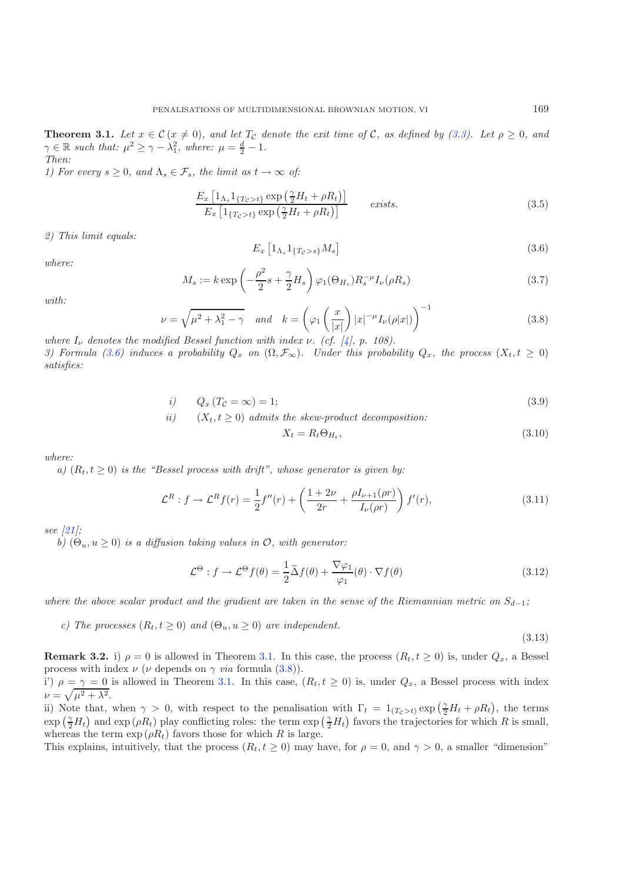**Theorem 3.1.** Let  $x \in \mathcal{C}$   $(x \neq 0)$ , and let  $T_{\mathcal{C}}$  denote the exit time of  $\mathcal{C}$ , as defined by [\(3.3\)](#page-16-1). Let  $\rho \geq 0$ , and  $\gamma \in \mathbb{R}$  such that:  $\mu^2 \geq \gamma - \lambda_1^2$ , where:  $\mu = \frac{d}{2} - 1$ . *Then:*

<span id="page-17-1"></span>*1) For every*  $s \geq 0$ *, and*  $\Lambda_s \in \mathcal{F}_s$ *, the limit as*  $t \to \infty$  *of:* 

<span id="page-17-0"></span>
$$
\frac{E_x \left[1_{\Lambda_s} 1_{\{T_c > t\}} \exp\left(\frac{\gamma}{2} H_t + \rho R_t\right)\right]}{E_x \left[1_{\{T_c > t\}} \exp\left(\frac{\gamma}{2} H_t + \rho R_t\right)\right]}
$$
 exists. (3.5)

*2) This limit equals:*

$$
E_x \left[1_{\Lambda_s} 1_{\{T_c > s\}} M_s\right] \tag{3.6}
$$

*where:*

$$
M_s := k \exp\left(-\frac{\rho^2}{2}s + \frac{\gamma}{2}H_s\right)\varphi_1(\Theta_{H_s})R_s^{-\mu}I_{\nu}(\rho R_s)
$$
\n(3.7)

*with:*

$$
\nu = \sqrt{\mu^2 + \lambda_1^2 - \gamma} \quad \text{and} \quad k = \left(\varphi_1\left(\frac{x}{|x|}\right)|x|^{-\mu}I_{\nu}(\rho|x|)\right)^{-1} \tag{3.8}
$$

*where*  $I_{\nu}$  *denotes the modified Bessel function with index*  $\nu$ *. (cf. [\[4](#page-28-15)], p. 108). 3)* Formula [\(3.6\)](#page-17-0) induces a probability  $Q_x$  on  $(\Omega, \mathcal{F}_\infty)$ . Under this probability  $Q_x$ , the process  $(X_t, t \geq 0)$ *satisfies:*

$$
i) \qquad Q_x \left( T_{\mathcal{C}} = \infty \right) = 1; \tag{3.9}
$$

*ii)* 
$$
(X_t, t \ge 0)
$$
 admits the skew-product decomposition:

$$
X_t = R_t \Theta_{H_t},\tag{3.10}
$$

*where:*

*a)*  $(R_t, t \geq 0)$  *is the "Bessel process with drift", whose generator is given by:* 

$$
\mathcal{L}^{R}: f \to \mathcal{L}^{R} f(r) = \frac{1}{2} f''(r) + \left( \frac{1+2\nu}{2r} + \frac{\rho I_{\nu+1}(\rho r)}{I_{\nu}(\rho r)} \right) f'(r), \tag{3.11}
$$

*see [\[21\]](#page-28-17);*

*b*)  $(\Theta_u, u \geq 0)$  *is a diffusion taking values in O, with generator:* 

$$
\mathcal{L}^{\Theta}: f \to \mathcal{L}^{\Theta} f(\theta) = \frac{1}{2} \tilde{\Delta} f(\theta) + \frac{\nabla \varphi_1}{\varphi_1}(\theta) \cdot \nabla f(\theta)
$$
\n(3.12)

*where the above scalar product and the gradient are taken in the sense of the Riemannian metric on*  $S_{d-1}$ ;

*c)* The processes  $(R_t, t > 0)$  and  $(\Theta_u, u > 0)$  are independent.

(3.13)

**Remark 3.2.** i)  $\rho = 0$  is allowed in Theorem [3.1.](#page-16-2) In this case, the process  $(R_t, t \ge 0)$  is, under  $Q_x$ , a Bessel process with index  $\nu$  ( $\nu$  depends on  $\gamma$  *via* formula [\(3.8\)](#page-17-1)).

i')  $\rho = \gamma = 0$  is allowed in Theorem [3.1.](#page-16-2) In this case,  $(R_t, t \ge 0)$  is, under  $Q_x$ , a Bessel process with index  $\nu = \sqrt{\mu^2 + \lambda^2}.$ 

ii) Note that, when  $\gamma > 0$ , with respect to the penalisation with  $\Gamma_t = 1_{(T_c > t)} \exp(\frac{\gamma}{2}H_t + \rho R_t)$ , the terms  $\exp\left(\frac{\gamma}{2}H_t\right)$  and  $\exp\left(\rho R_t\right)$  play conflicting roles: the term  $\exp\left(\frac{\gamma}{2}H_t\right)$  favors the trajectories for which R is small, whereas the term  $\exp(\rho R_t)$  favors those for which R is large.

This explains, intuitively, that the process  $(R_t, t \ge 0)$  may have, for  $\rho = 0$ , and  $\gamma > 0$ , a smaller "dimension"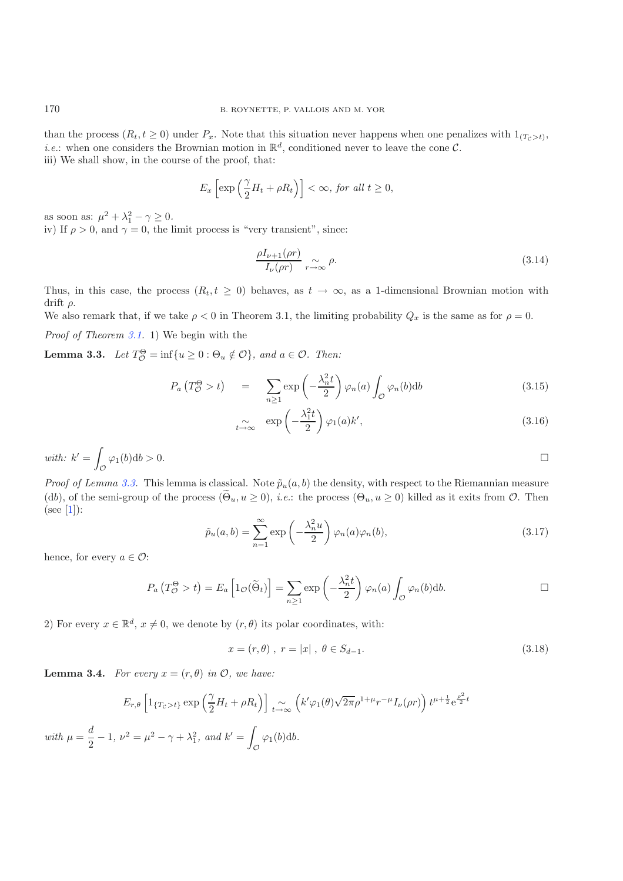than the process  $(R_t, t \geq 0)$  under  $P_x$ . Note that this situation never happens when one penalizes with  $1_{(T_c > t)}$ , *i.e.*: when one considers the Brownian motion in  $\mathbb{R}^d$ , conditioned never to leave the cone  $\mathcal{C}$ . iii) We shall show, in the course of the proof, that:

$$
E_x\left[\exp\left(\frac{\gamma}{2}H_t+\rho R_t\right)\right]<\infty, \text{ for all } t\geq 0,
$$

as soon as:  $\mu^2 + \lambda_1^2 - \gamma \ge 0$ .

iv) If  $\rho > 0$ , and  $\gamma = 0$ , the limit process is "very transient", since:

$$
\frac{\rho I_{\nu+1}(\rho r)}{I_{\nu}(\rho r)} \underset{r \to \infty}{\sim} \rho.
$$
\n(3.14)

Thus, in this case, the process  $(R_t, t \geq 0)$  behaves, as  $t \to \infty$ , as a 1-dimensional Brownian motion with drift  $\rho$ .

We also remark that, if we take  $\rho < 0$  in Theorem 3.1, the limiting probability  $Q_x$  is the same as for  $\rho = 0$ .

<span id="page-18-0"></span>*Proof of Theorem [3.1.](#page-16-2)* 1) We begin with the

**Lemma 3.3.** *Let*  $T_{\mathcal{O}}^{\Theta} = \inf\{u \ge 0 : \Theta_u \notin \mathcal{O}\}\$ , and  $a \in \mathcal{O}$ . Then:

<span id="page-18-2"></span>
$$
P_a\left(T_C^{\Theta} > t\right) = \sum_{n\geq 1} \exp\left(-\frac{\lambda_n^2 t}{2}\right) \varphi_n(a) \int_{\mathcal{O}} \varphi_n(b) db \tag{3.15}
$$

$$
\sum_{t \to \infty} \exp\left(-\frac{\lambda_1^2 t}{2}\right) \varphi_1(a) k', \tag{3.16}
$$

with: 
$$
k' = \int_{\mathcal{O}} \varphi_1(b) db > 0.
$$

*Proof of Lemma [3.3.](#page-18-0)* This lemma is classical. Note  $\tilde{p}_u(a, b)$  the density, with respect to the Riemannian measure (db), of the semi-group of the process  $(\Theta_u, u \ge 0)$ , *i.e.*: the process  $(\Theta_u, u \ge 0)$  killed as it exits from  $\mathcal{O}$ . Then  $(see [1]):$  $(see [1]):$  $(see [1]):$ 

$$
\tilde{p}_u(a,b) = \sum_{n=1}^{\infty} \exp\left(-\frac{\lambda_n^2 u}{2}\right) \varphi_n(a) \varphi_n(b),\tag{3.17}
$$

hence, for every  $a \in \mathcal{O}$ :

$$
P_a(T_{\mathcal{O}}^{\Theta} > t) = E_a\left[1_{\mathcal{O}}(\widetilde{\Theta}_t)\right] = \sum_{n \ge 1} \exp\left(-\frac{\lambda_n^2 t}{2}\right) \varphi_n(a) \int_{\mathcal{O}} \varphi_n(b) db.
$$

2) For every  $x \in \mathbb{R}^d$ ,  $x \neq 0$ , we denote by  $(r, \theta)$  its polar coordinates, with:

$$
x = (r, \theta) , r = |x| , \theta \in S_{d-1}.
$$
 (3.18)

<span id="page-18-1"></span>**Lemma 3.4.** *For every*  $x = (r, \theta)$  *in*  $\mathcal{O}$ *, we have:* 

$$
E_{r,\theta} \left[ 1_{\{T_c > t\}} \exp\left(\frac{\gamma}{2} H_t + \rho R_t\right) \right]_{t \to \infty} \left( k' \varphi_1(\theta) \sqrt{2\pi} \rho^{1+\mu} r^{-\mu} I_{\nu}(\rho r) \right) t^{\mu + \frac{1}{2}} e^{\frac{\rho^2}{2} t}
$$
  
with  $\mu = \frac{d}{2} - 1$ ,  $\nu^2 = \mu^2 - \gamma + \lambda_1^2$ , and  $k' = \int_{\mathcal{O}} \varphi_1(b) db$ .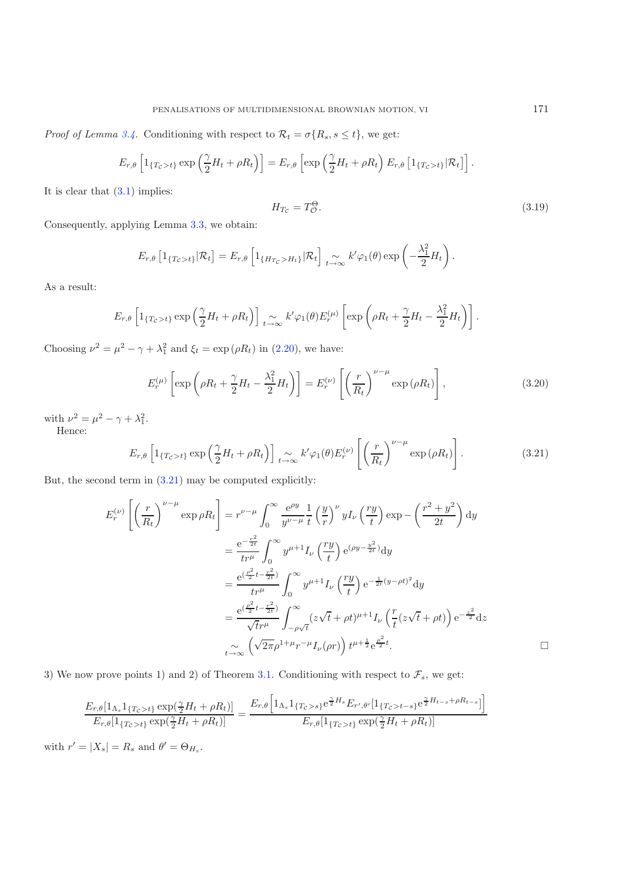*Proof of Lemma [3.4.](#page-18-1)* Conditioning with respect to  $\mathcal{R}_t = \sigma\{R_s, s \leq t\}$ , we get:

$$
E_{r,\theta}\left[1_{\{T_c>t\}}\exp\left(\frac{\gamma}{2}H_t+\rho R_t\right)\right]=E_{r,\theta}\left[\exp\left(\frac{\gamma}{2}H_t+\rho R_t\right)E_{r,\theta}\left[1_{\{T_c>t\}}|\mathcal{R}_t\right]\right].
$$

It is clear that  $(3.1)$  implies:

$$
H_{T_C} = T_C^{\Theta}.
$$
\n(3.19)

Consequently, applying Lemma [3.3,](#page-18-0) we obtain:

$$
E_{r,\theta}\left[1_{\{T_{\mathcal{C}}>t\}}|\mathcal{R}_t\right] = E_{r,\theta}\left[1_{\{H_{T_{\mathcal{C}}>H_t\}}|\mathcal{R}_t\right]}\underset{t\to\infty}{\sim} k'\varphi_1(\theta)\exp\left(-\frac{\lambda_1^2}{2}H_t\right).
$$

<span id="page-19-0"></span>As a result:

$$
E_{r,\theta}\left[1_{\{T_c>t\}}\exp\left(\frac{\gamma}{2}H_t+\rho R_t\right)\right]\underset{t\to\infty}{\sim}k'\varphi_1(\theta)E_r^{(\mu)}\left[\exp\left(\rho R_t+\frac{\gamma}{2}H_t-\frac{\lambda_1^2}{2}H_t\right)\right].
$$

Choosing  $\nu^2 = \mu^2 - \gamma + \lambda_1^2$  and  $\xi_t = \exp(\rho R_t)$  in [\(2.20\)](#page-5-0), we have:

$$
E_r^{(\mu)}\left[\exp\left(\rho R_t + \frac{\gamma}{2}H_t - \frac{\lambda_1^2}{2}H_t\right)\right] = E_r^{(\nu)}\left[\left(\frac{r}{R_t}\right)^{\nu-\mu}\exp\left(\rho R_t\right)\right],\tag{3.20}
$$

with  $\nu^2 = \mu^2 - \gamma + \lambda_1^2$ .

Hence:

$$
E_{r,\theta}\left[1_{\{T_c>t\}}\exp\left(\frac{\gamma}{2}H_t+\rho R_t\right)\right]_{t\to\infty}k'\varphi_1(\theta)E_r^{(\nu)}\left[\left(\frac{r}{R_t}\right)^{\nu-\mu}\exp\left(\rho R_t\right)\right].
$$
\n(3.21)

But, the second term in  $(3.21)$  may be computed explicitly:

$$
E_r^{(\nu)} \left[ \left( \frac{r}{R_t} \right)^{\nu-\mu} \exp \rho R_t \right] = r^{\nu-\mu} \int_0^\infty \frac{e^{\rho y}}{y^{\nu-\mu}} \frac{1}{t} \left( \frac{y}{r} \right)^{\nu} y I_{\nu} \left( \frac{ry}{t} \right) \exp - \left( \frac{r^2 + y^2}{2t} \right) dy
$$
  

$$
= \frac{e^{-\frac{r^2}{2t}}}{tr^{\mu}} \int_0^\infty y^{\mu+1} I_{\nu} \left( \frac{ry}{t} \right) e^{(\rho y - \frac{y^2}{2t})} dy
$$
  

$$
= \frac{e^{\left(\frac{\rho^2}{2}t - \frac{r^2}{2t}\right)}}{tr^{\mu}} \int_0^\infty y^{\mu+1} I_{\nu} \left( \frac{ry}{t} \right) e^{-\frac{1}{2t}(y-\rho t)^2} dy
$$
  

$$
= \frac{e^{\left(\frac{\rho^2}{2}t - \frac{r^2}{2t}\right)}}{\sqrt{tr^{\mu}}} \int_{-\rho\sqrt{t}}^\infty (z\sqrt{t} + \rho t)^{\mu+1} I_{\nu} \left( \frac{r}{t}(z\sqrt{t} + \rho t) \right) e^{-\frac{z^2}{2}} dz
$$
  

$$
\int_{t \to \infty}^\infty \left( \sqrt{2\pi} \rho^{1+\mu} r^{-\mu} I_{\nu}(\rho r) \right) t^{\mu+\frac{1}{2}} e^{\frac{\rho^2}{2}t}.
$$

3) We now prove points 1) and 2) of Theorem [3.1.](#page-16-2) Conditioning with respect to  $\mathcal{F}_s$ , we get:

$$
\frac{E_{r,\theta}[1_{\Lambda_s}1_{\{T_c>t\}}\exp(\frac{\gamma}{2}H_t+\rho R_t)]}{E_{r,\theta}[1_{\{T_c>t\}}\exp(\frac{\gamma}{2}H_t+\rho R_t)]} = \frac{E_{r,\theta}[1_{\Lambda_s}1_{\{T_c>t\}}e^{\frac{\gamma}{2}H_s}E_{r',\theta'}[1_{\{T_c>t-s\}}e^{\frac{\gamma}{2}H_{t-s}+\rho R_{t-s}}]]}{E_{r,\theta}[1_{\{T_c>t\}}\exp(\frac{\gamma}{2}H_t+\rho R_t)]}
$$

with  $r' = |X_s| = R_s$  and  $\theta' = \Theta_{H_s}$ .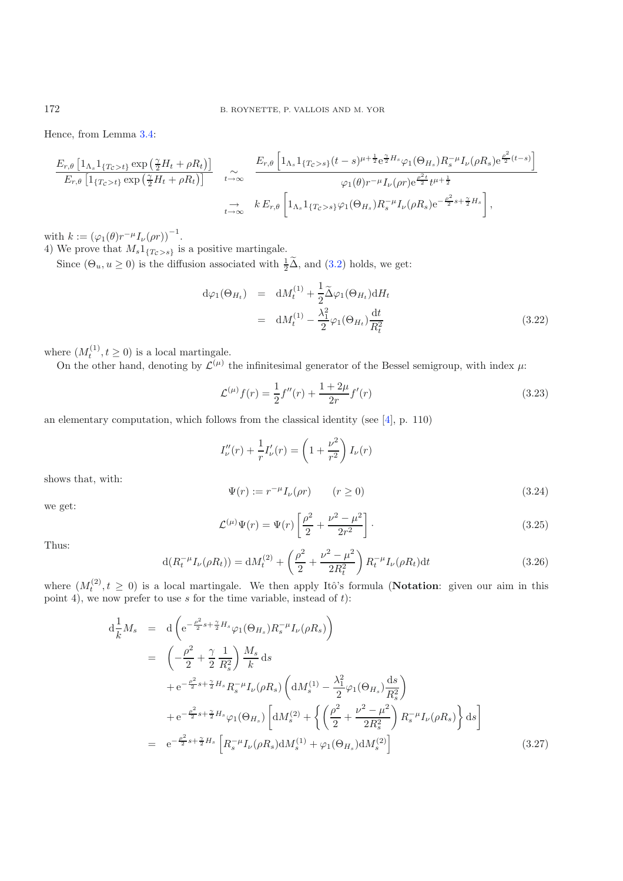Hence, from Lemma [3.4:](#page-18-1)

$$
\frac{E_{r,\theta}\left[1_{\Lambda_s}1_{\{T_c>t\}}\exp\left(\frac{\gamma}{2}H_t+\rho R_t\right)\right]}{E_{r,\theta}\left[1_{\{T_c>t\}}\exp\left(\frac{\gamma}{2}H_t+\rho R_t\right)\right]} \quad \underset{t\to\infty}{\sim} \quad \frac{E_{r,\theta}\left[1_{\Lambda_s}1_{\{T_c>t\}}\left(t-s\right)^{\mu+\frac{1}{2}}e^{\frac{\gamma}{2}H_s}\varphi_1(\Theta_{H_s})R_s^{-\mu}I_{\nu}(\rho R_s)e^{\frac{\rho^2}{2}(t-s)}\right]}{\varphi_1(\theta)r^{-\mu}I_{\nu}(\rho r)e^{\frac{\rho^2t}{2}}t^{\mu+\frac{1}{2}}} \quad \frac{\to}{\phi_2} \quad k E_{r,\theta}\left[1_{\Lambda_s}1_{\{T_c>t\}}\varphi_1(\Theta_{H_s})R_s^{-\mu}I_{\nu}(\rho R_s)e^{-\frac{\rho^2}{2}s+\frac{\gamma}{2}H_s}\right],
$$

with  $k := (\varphi_1(\theta) r^{-\mu} I_{\nu}(\rho r))^{-1}$ .

4) We prove that  $M_s1_{\{T_c > s\}}$  is a positive martingale.

Since  $(\Theta_u, u \ge 0)$  is the diffusion associated with  $\frac{1}{2}\tilde{\Delta}$ , and  $(3.2)$  $(3.2)$  holds, we get:

<span id="page-20-2"></span><span id="page-20-1"></span>
$$
d\varphi_1(\Theta_{H_t}) = dM_t^{(1)} + \frac{1}{2}\tilde{\Delta}\varphi_1(\Theta_{H_t})dH_t
$$
  
= 
$$
dM_t^{(1)} - \frac{\lambda_1^2}{2}\varphi_1(\Theta_{H_t})\frac{dt}{R_t^2}
$$
(3.22)

where  $(M_t^{(1)}, t \ge 0)$  is a local martingale.

On the other hand, denoting by  $\mathcal{L}^{(\mu)}$  the infinitesimal generator of the Bessel semigroup, with index  $\mu$ :

<span id="page-20-0"></span>
$$
\mathcal{L}^{(\mu)}f(r) = \frac{1}{2}f''(r) + \frac{1+2\mu}{2r}f'(r)
$$
\n(3.23)

<span id="page-20-3"></span>an elementary computation, which follows from the classical identity (see  $[4]$ , p. 110)

$$
I_{\nu}''(r) + \frac{1}{r}I_{\nu}'(r) = \left(1 + \frac{\nu^2}{r^2}\right)I_{\nu}(r)
$$

shows that, with:

$$
\Psi(r) := r^{-\mu} I_{\nu}(\rho r) \qquad (r \ge 0)
$$
\n
$$
(3.24)
$$

we get:

$$
\mathcal{L}^{(\mu)}\Psi(r) = \Psi(r)\left[\frac{\rho^2}{2} + \frac{\nu^2 - \mu^2}{2r^2}\right].
$$
\n(3.25)

Thus:

$$
d(R_t^{-\mu}I_{\nu}(\rho R_t)) = dM_t^{(2)} + \left(\frac{\rho^2}{2} + \frac{\nu^2 - \mu^2}{2R_t^2}\right)R_t^{-\mu}I_{\nu}(\rho R_t)dt
$$
\n(3.26)

<span id="page-20-4"></span>where  $(M_t^{(2)}, t \geq 0)$  is a local martingale. We then apply Itô's formula (**Notation**: given our aim in this point 4), we now prefer to use s for the time variable, instead of  $t$ :

$$
d\frac{1}{k}M_s = d\left(e^{-\frac{\rho^2}{2}s + \frac{\gamma}{2}H_s}\varphi_1(\Theta_{H_s})R_s^{-\mu}I_{\nu}(\rho R_s)\right)
$$
  
\n
$$
= \left(-\frac{\rho^2}{2} + \frac{\gamma}{2}\frac{1}{R_s^2}\right)\frac{M_s}{k}ds
$$
  
\n
$$
+ e^{-\frac{\rho^2}{2}s + \frac{\gamma}{2}H_s}R_s^{-\mu}I_{\nu}(\rho R_s)\left(dM_s^{(1)} - \frac{\lambda_1^2}{2}\varphi_1(\Theta_{H_s})\frac{ds}{R_s^2}\right)
$$
  
\n
$$
+ e^{-\frac{\rho^2}{2}s + \frac{\gamma}{2}H_s}\varphi_1(\Theta_{H_s})\left[dM_s^{(2)} + \left\{\left(\frac{\rho^2}{2} + \frac{\nu^2 - \mu^2}{2R_s^2}\right)R_s^{-\mu}I_{\nu}(\rho R_s)\right\}ds\right]
$$
  
\n
$$
= e^{-\frac{\rho^2}{2}s + \frac{\gamma}{2}H_s}\left[R_s^{-\mu}I_{\nu}(\rho R_s)dM_s^{(1)} + \varphi_1(\Theta_{H_s})dM_s^{(2)}\right]
$$
(3.27)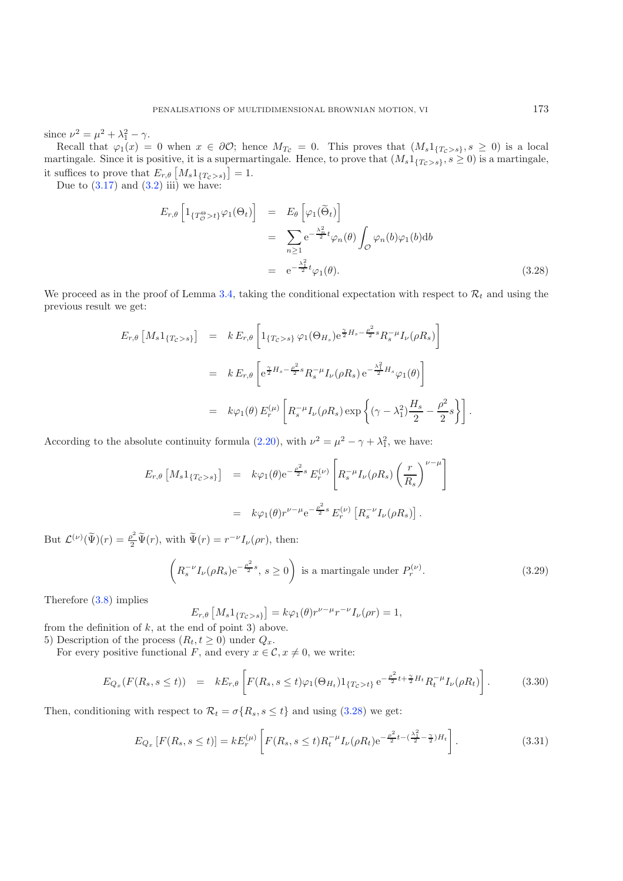since  $\nu^2 = \mu^2 + \lambda_1^2 - \gamma$ .

Recall that  $\varphi_1(x) = 0$  when  $x \in \partial \mathcal{O}$ ; hence  $M_{T_c} = 0$ . This proves that  $(M_s 1_{\{T_c > s\}}, s \geq 0)$  is a local martingale. Since it is positive, it is a supermartingale. Hence, to prove that  $(M_s1_{\{T_c>s\}}, s\geq 0)$  is a martingale, it suffices to prove that  $E_{r,\theta}\left[M_s 1_{\{T_c > s\}}\right] = 1.$ 

<span id="page-21-0"></span>Due to  $(3.17)$  and  $(3.2)$  iii) we have:

$$
E_{r,\theta} \left[ 1_{\{T^{\Theta}_{\mathcal{O}} > t\}} \varphi_1(\Theta_t) \right] = E_{\theta} \left[ \varphi_1(\widetilde{\Theta}_t) \right]
$$
  

$$
= \sum_{n \geq 1} e^{-\frac{\lambda_n^2}{2} t} \varphi_n(\theta) \int_{\mathcal{O}} \varphi_n(b) \varphi_1(b) db
$$
  

$$
= e^{-\frac{\lambda_1^2}{2} t} \varphi_1(\theta).
$$
 (3.28)

We proceed as in the proof of Lemma [3.4,](#page-18-1) taking the conditional expectation with respect to  $\mathcal{R}_t$  and using the previous result we get:

$$
E_{r,\theta} \left[ M_s 1_{\{T_c > s\}} \right] = k E_{r,\theta} \left[ 1_{\{T_c > s\}} \varphi_1(\Theta_{H_s}) e^{\frac{\gamma}{2} H_s - \frac{\rho^2}{2} s} R_s^{-\mu} I_{\nu}(\rho R_s) \right]
$$
  

$$
= k E_{r,\theta} \left[ e^{\frac{\gamma}{2} H_s - \frac{\rho^2}{2} s} R_s^{-\mu} I_{\nu}(\rho R_s) e^{-\frac{\lambda_1^2}{2} H_s} \varphi_1(\theta) \right]
$$
  

$$
= k \varphi_1(\theta) E_r^{(\mu)} \left[ R_s^{-\mu} I_{\nu}(\rho R_s) \exp \left\{ (\gamma - \lambda_1^2) \frac{H_s}{2} - \frac{\rho^2}{2} s \right\} \right].
$$

According to the absolute continuity formula [\(2.20\)](#page-5-0), with  $\nu^2 = \mu^2 - \gamma + \lambda_1^2$ , we have:

$$
E_{r,\theta} \left[ M_s \mathbb{1}_{\{T_c > s\}} \right] = k \varphi_1(\theta) e^{-\frac{\rho^2}{2} s} E_r^{(\nu)} \left[ R_s^{-\mu} I_{\nu}(\rho R_s) \left( \frac{r}{R_s} \right)^{\nu - \mu} \right]
$$
  

$$
= k \varphi_1(\theta) r^{\nu - \mu} e^{-\frac{\rho^2}{2} s} E_r^{(\nu)} \left[ R_s^{-\nu} I_{\nu}(\rho R_s) \right].
$$

But  $\mathcal{L}^{(\nu)}(\tilde{\Psi})(r) = \frac{\rho^2}{2} \tilde{\Psi}(r)$ , with  $\tilde{\Psi}(r) = r^{-\nu} I_{\nu}(\rho r)$ , then:

$$
\left(R_s^{-\nu}I_{\nu}(\rho R_s)e^{-\frac{\rho^2}{2}s},\,s\geq 0\right)\text{ is a martingale under }P_r^{(\nu)}.\tag{3.29}
$$

<span id="page-21-1"></span>Therefore [\(3.8\)](#page-17-1) implies

$$
E_{r,\theta}\left[M_s 1_{\{T_c > s\}}\right] = k\varphi_1(\theta)r^{\nu-\mu}r^{-\nu}I_{\nu}(\rho r) = 1,
$$

from the definition of  $k$ , at the end of point 3) above.

5) Description of the process  $(R_t, t \geq 0)$  under  $Q_x$ .

For every positive functional F, and every  $x \in \mathcal{C}$ ,  $x \neq 0$ , we write:

$$
E_{Q_x}(F(R_s, s \le t)) = kE_{r,\theta} \left[ F(R_s, s \le t) \varphi_1(\Theta_{H_t}) 1_{\{T_c > t\}} e^{-\frac{\rho^2}{2}t + \frac{\gamma}{2}H_t} R_t^{-\mu} I_{\nu}(\rho R_t) \right].
$$
 (3.30)

Then, conditioning with respect to  $\mathcal{R}_t = \sigma\{R_s, s \leq t\}$  and using [\(3.28\)](#page-21-0) we get:

$$
E_{Q_x}\left[F(R_s, s \le t)\right] = kE_r^{(\mu)}\left[F(R_s, s \le t)R_t^{-\mu}I_{\nu}(\rho R_t)e^{-\frac{\rho^2}{2}t - (\frac{\lambda_1^2}{2} - \frac{\gamma}{2})H_t}\right].
$$
\n(3.31)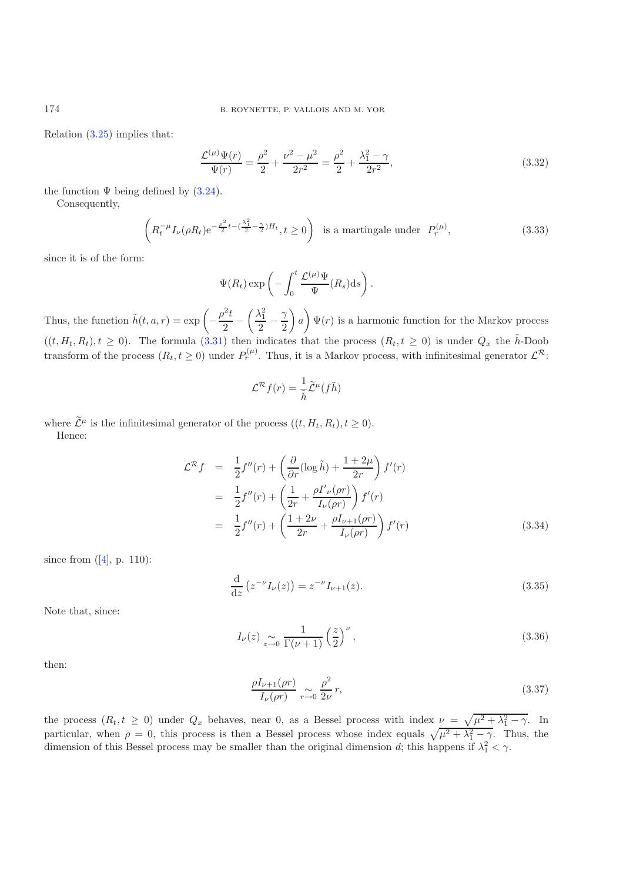Relation [\(3.25\)](#page-20-0) implies that:

$$
\frac{\mathcal{L}^{(\mu)}\Psi(r)}{\Psi(r)} = \frac{\rho^2}{2} + \frac{\nu^2 - \mu^2}{2r^2} = \frac{\rho^2}{2} + \frac{\lambda_1^2 - \gamma}{2r^2},
$$
\n(3.32)

the function  $\Psi$  being defined by  $(3.24)$ .

Consequently,

$$
\left(R_t^{-\mu}I_{\nu}(\rho R_t)e^{-\frac{\rho^2}{2}t-(\frac{\lambda_1^2}{2}-\frac{\gamma}{2})H_t}, t\ge 0\right) \text{ is a martingale under } P_r^{(\mu)},\tag{3.33}
$$

since it is of the form:

$$
\Psi(R_t) \exp\left(-\int_0^t \frac{\mathcal{L}^{(\mu)}\Psi}{\Psi}(R_s)ds\right).
$$

Thus, the function  $\tilde{h}(t, a, r) = \exp\left(-\frac{\rho^2 t}{2} - \right)$  $\left(\frac{\lambda_1^2}{2} - \frac{\gamma}{2}\right)$  $\setminus$ a  $\setminus$  $\Psi(r)$  is a harmonic function for the Markov process  $((t, H_t, R_t), t \geq 0)$ . The formula [\(3.31\)](#page-21-1) then indicates that the process  $(R_t, t \geq 0)$  is under  $Q_x$  the  $\tilde{h}$ -Doob transform of the process  $(R_t, t \ge 0)$  under  $P_t^{(\mu)}$ . Thus, it is a Markov process, with infinitesimal generator  $\mathcal{L}^{\mathcal{R}}$ :

$$
\mathcal{L}^{\mathcal{R}}f(r) = \frac{1}{\tilde{h}}\widetilde{\mathcal{L}}^{\mu}(f\tilde{h})
$$

where  $\widetilde{\mathcal{L}}^{\mu}$  is the infinitesimal generator of the process  $((t, H_t, R_t), t \geq 0)$ . Hence:

$$
\mathcal{L}^{\mathcal{R}}f = \frac{1}{2}f''(r) + \left(\frac{\partial}{\partial r}(\log \tilde{h}) + \frac{1+2\mu}{2r}\right)f'(r) \n= \frac{1}{2}f''(r) + \left(\frac{1}{2r} + \frac{\rho I'_{\nu}(\rho r)}{I_{\nu}(\rho r)}\right)f'(r) \n= \frac{1}{2}f''(r) + \left(\frac{1+2\nu}{2r} + \frac{\rho I_{\nu+1}(\rho r)}{I_{\nu}(\rho r)}\right)f'(r)
$$
\n(3.34)

since from  $([4], p. 110)$  $([4], p. 110)$  $([4], p. 110)$ :

$$
\frac{\mathrm{d}}{\mathrm{d}z} \left( z^{-\nu} I_{\nu}(z) \right) = z^{-\nu} I_{\nu+1}(z). \tag{3.35}
$$

Note that, since:

$$
I_{\nu}(z) \underset{z \to 0}{\sim} \frac{1}{\Gamma(\nu+1)} \left(\frac{z}{2}\right)^{\nu},\tag{3.36}
$$

then:

$$
\frac{\rho I_{\nu+1}(\rho r)}{I_{\nu}(\rho r)} \underset{r \to 0}{\sim} \frac{\rho^2}{2\nu} r,\tag{3.37}
$$

the process  $(R_t, t \geq 0)$  under  $Q_x$  behaves, near 0, as a Bessel process with index  $\nu = \sqrt{\mu^2 + \lambda_1^2 - \gamma}$ . In particular, when  $\rho = 0$ , this process is then a Bessel process whose index equals  $\sqrt{\mu^2 + \lambda_1^2 - \gamma}$ . Thus, the dimension of this Bessel process may be smaller than the original dimension d; this happens if  $\lambda_1^2 < \gamma$ .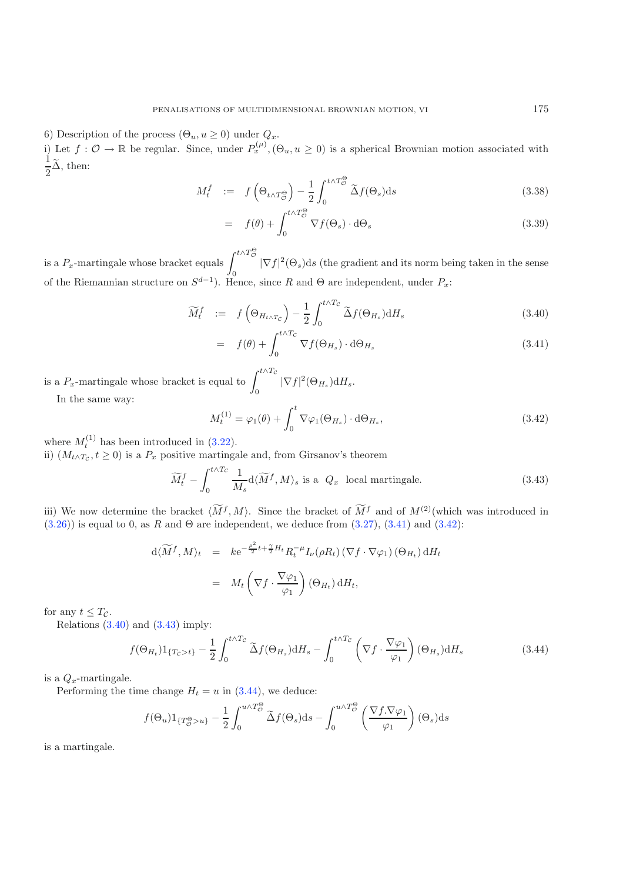6) Description of the process  $(\Theta_u, u \geq 0)$  under  $Q_x$ . i) Let  $f: \mathcal{O} \to \mathbb{R}$  be regular. Since, under  $P_x^{(\mu)}$ ,  $(\Theta_u, u \ge 0)$  is a spherical Brownian motion associated with 1  $\frac{1}{2}\Delta$ , then:

$$
M_t^f \quad := \quad f\left(\Theta_{t \wedge T_{\mathcal{O}}^{\Theta}}\right) - \frac{1}{2} \int_0^{t \wedge T_{\mathcal{O}}^{\Theta}} \widetilde{\Delta} f(\Theta_s) \mathrm{d}s \tag{3.38}
$$

$$
= f(\theta) + \int_0^{t \wedge T_\Theta^{\Theta}} \nabla f(\Theta_s) \cdot d\Theta_s \tag{3.39}
$$

is a  $P_x$ -martingale whose bracket equals  $\int^{t\wedge T_\mathcal{O}^\Theta}$ 0  $|\nabla f|^2(\Theta_s)ds$  (the gradient and its norm being taken in the sense of the Riemannian structure on  $S^{d-1}$ ). Hence, since R and  $\Theta$  are independent, under  $P_x$ :

<span id="page-23-1"></span><span id="page-23-0"></span>
$$
\widetilde{M}_t^f := f\left(\Theta_{H_{t\wedge T_c}}\right) - \frac{1}{2} \int_0^{t\wedge T_c} \widetilde{\Delta}f(\Theta_{H_s}) \mathrm{d}H_s \tag{3.40}
$$

$$
= f(\theta) + \int_0^{t \wedge T_c} \nabla f(\Theta_{H_s}) \cdot d\Theta_{H_s}
$$
\n(3.41)

<span id="page-23-2"></span>is a  $P_x$ -martingale whose bracket is equal to  $\int_0^{t \wedge T_c}$  $|\nabla f|^2(\Theta_{H_s}) \, \mathrm{d}H_s.$ 

In the same way:

$$
M_t^{(1)} = \varphi_1(\theta) + \int_0^t \nabla \varphi_1(\Theta_{H_s}) \cdot d\Theta_{H_s},
$$
\n(3.42)

where  $M_t^{(1)}$  has been introduced in [\(3.22\)](#page-20-2).

ii)  $(M_{t\wedge T_c}, t \geq 0)$  is a  $P_x$  positive martingale and, from Girsanov's theorem

$$
\widetilde{M}_t^f - \int_0^{t \wedge T_c} \frac{1}{M_s} d\langle \widetilde{M}^f, M \rangle_s \text{ is a } Q_x \text{ local martingale.}
$$
\n(3.43)

<span id="page-23-3"></span>iii) We now determine the bracket  $\langle \overline{M}^f, M \rangle$ . Since the bracket of  $\overline{M}^f$  and of  $M^{(2)}$  (which was introduced in  $(3.26)$ ) is equal to 0, as R and  $\Theta$  are independent, we deduce from  $(3.27)$ ,  $(3.41)$  and  $(3.42)$ :

$$
d\langle \widetilde{M}^f, M \rangle_t = k e^{-\frac{\rho^2}{2}t + \frac{\gamma}{2}H_t} R_t^{-\mu} I_{\nu}(\rho R_t) (\nabla f \cdot \nabla \varphi_1) (\Theta_{H_t}) dH_t
$$
  
= 
$$
M_t \left( \nabla f \cdot \frac{\nabla \varphi_1}{\varphi_1} \right) (\Theta_{H_t}) dH_t,
$$

for any  $t \leq T_{\mathcal{C}}$ .

Relations  $(3.40)$  and  $(3.43)$  imply:

$$
f(\Theta_{H_t})1_{\{T_c > t\}} - \frac{1}{2} \int_0^{t \wedge T_c} \tilde{\Delta}f(\Theta_{H_s}) \mathrm{d}H_s - \int_0^{t \wedge T_c} \left(\nabla f \cdot \frac{\nabla \varphi_1}{\varphi_1}\right) (\Theta_{H_s}) \mathrm{d}H_s \tag{3.44}
$$

is a  $Q_x$ -martingale.

Performing the time change  $H_t = u$  in [\(3.44\)](#page-23-3), we deduce:

$$
f(\Theta_u)1_{\{T^{\Theta}_\mathcal{O} > u\}} - \frac{1}{2} \int_0^{u \wedge T^{\Theta}_\mathcal{O}} \widetilde{\Delta} f(\Theta_s) ds - \int_0^{u \wedge T^{\Theta}_\mathcal{O}} \left(\frac{\nabla f \cdot \nabla \varphi_1}{\varphi_1}\right)(\Theta_s) ds
$$

is a martingale.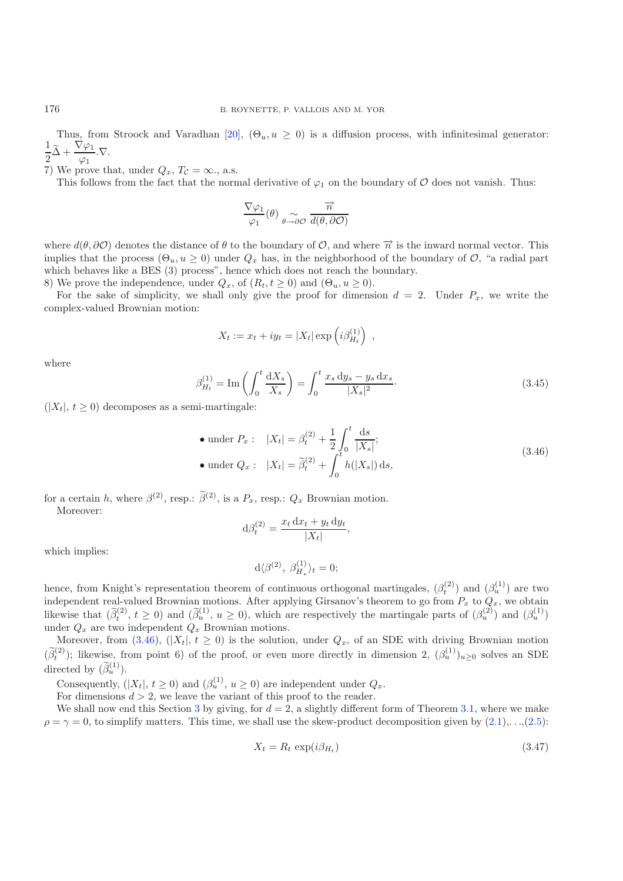Thus, from Stroock and Varadhan [\[20](#page-28-19)],  $(\Theta_u, u \geq 0)$  is a diffusion process, with infinitesimal generator: 1  $\frac{1}{2}\widetilde{\Delta} + \frac{\nabla \varphi_1}{\varphi_1} \nabla.$ 

7) We prove that, under  $Q_x$ ,  $T_c = \infty$ ., a.s.

This follows from the fact that the normal derivative of  $\varphi_1$  on the boundary of  $\mathcal O$  does not vanish. Thus:

$$
\frac{\nabla \varphi_1}{\varphi_1}(\theta) \underset{\theta \to \partial \mathcal{O}}{\sim} \frac{\overrightarrow{n}}{d(\theta, \partial \mathcal{O})}
$$

where  $d(\theta, \partial \mathcal{O})$  denotes the distance of  $\theta$  to the boundary of  $\mathcal{O}$ , and where  $\overrightarrow{n}$  is the inward normal vector. This implies that the process  $(\Theta_u, u \ge 0)$  under  $Q_x$  has, in the neighborhood of the boundary of  $\mathcal{O}$ , "a radial part which behaves like a BES  $(3)$  process", hence which does not reach the boundary.

8) We prove the independence, under  $Q_x$ , of  $(R_t, t \ge 0)$  and  $(\Theta_u, u \ge 0)$ .

<span id="page-24-0"></span>For the sake of simplicity, we shall only give the proof for dimension  $d = 2$ . Under  $P_x$ , we write the complex-valued Brownian motion:

$$
X_t := x_t + iy_t = |X_t| \exp\left(i\beta_{H_t}^{(1)}\right) ,
$$

where

$$
\beta_{H_t}^{(1)} = \text{Im}\left(\int_0^t \frac{dX_s}{X_s}\right) = \int_0^t \frac{x_s \, dy_s - y_s \, dx_s}{|X_s|^2}.
$$
\n(3.45)

 $(|X_t|, t \geq 0)$  decomposes as a semi-martingale:

• under 
$$
P_x
$$
:  $|X_t| = \beta_t^{(2)} + \frac{1}{2} \int_0^t \frac{ds}{|X_s|};$   
\n• under  $Q_x$ :  $|X_t| = \tilde{\beta}_t^{(2)} + \int_0^t h(|X_s|) ds,$  (3.46)

for a certain h, where  $\beta^{(2)}$ , resp.:  $\tilde{\beta}^{(2)}$ , is a  $P_x$ , resp.:  $Q_x$  Brownian motion. Moreover:

$$
d\beta_t^{(2)} = \frac{x_t dx_t + y_t dy_t}{|X_t|},
$$

which implies:

$$
d\langle \beta^{(2)}, \ \beta^{(1)}_H \rangle_t = 0;
$$

hence, from Knight's representation theorem of continuous orthogonal martingales,  $(\beta_t^{(2)})$  and  $(\beta_u^{(1)})$  are two independent real-valued Brownian motions. After applying Girsanov's theorem to go from  $P_x$  to  $Q_x$ , we obtain likewise that  $(\tilde{\beta}_t^{(2)}, t \ge 0)$  and  $(\tilde{\beta}_u^{(1)}, u \ge 0)$ , which are respectively the martingale parts of  $(\beta_u^{(2)})$  and  $(\beta_u^{(1)})$ under  $Q_x$  are two independent  $Q_x$  Brownian motions.

Moreover, from  $(3.46)$ ,  $(|X_t|, t \ge 0)$  is the solution, under  $Q_x$ , of an SDE with driving Brownian motion  $(\widetilde{\beta}_t^{(2)})$ ; likewise, from point 6) of the proof, or even more directly in dimension 2,  $(\beta_u^{(1)})_{u\geq0}$  solves an SDE directed by  $(\widetilde{\beta}_u^{(1)})$ .

Consequently,  $(|X_t|, t \ge 0)$  and  $(\beta_u^{(1)}, u \ge 0)$  are independent under  $Q_x$ .

For dimensions  $d > 2$ , we leave the variant of this proof to the reader.

We shall now end this Section [3](#page-16-0) by giving, for  $d = 2$ , a slightly different form of Theorem [3.1,](#page-16-2) where we make  $\rho = \gamma = 0$ , to simplify matters. This time, we shall use the skew-product decomposition given by  $(2.1),...,(2.5)$  $(2.1),...,(2.5)$  $(2.1),...,(2.5)$ :

$$
X_t = R_t \, \exp(i\beta_{H_t}) \tag{3.47}
$$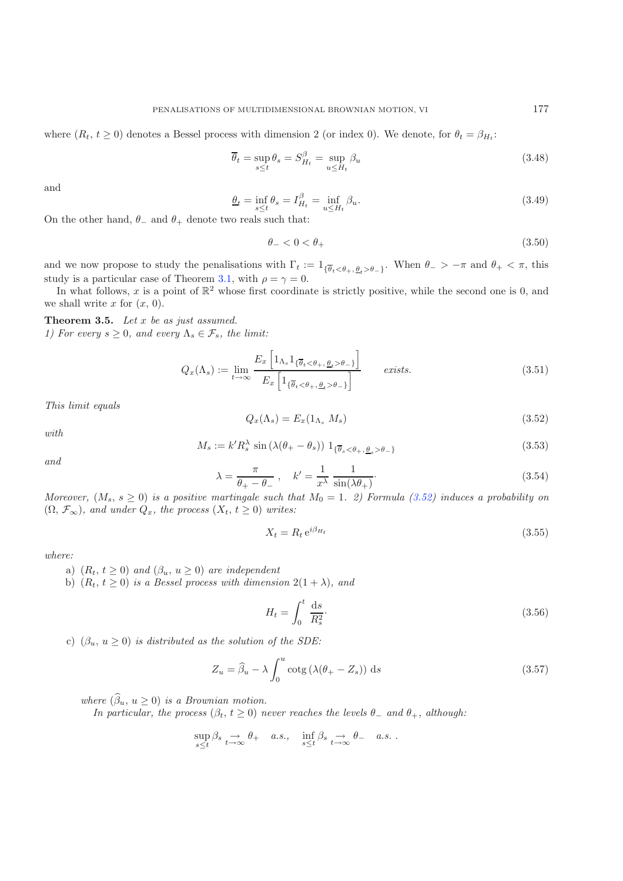where  $(R_t, t \geq 0)$  denotes a Bessel process with dimension 2 (or index 0). We denote, for  $\theta_t = \beta_{H_t}$ :

<span id="page-25-3"></span><span id="page-25-2"></span>
$$
\overline{\theta}_t = \sup_{s \le t} \theta_s = S_{H_t}^{\beta} = \sup_{u \le H_t} \beta_u \tag{3.48}
$$

and

<span id="page-25-0"></span>
$$
\underline{\theta}_t = \inf_{s \le t} \theta_s = I_{H_t}^{\beta} = \inf_{u \le H_t} \beta_u.
$$
\n(3.49)

On the other hand,  $\theta_-\$  and  $\theta_+\$  denote two reals such that:

$$
\theta_- < 0 < \theta_+ \tag{3.50}
$$

and we now propose to study the penalisations with  $\Gamma_t := 1_{\{\overline{\theta}_t < \theta_+, \underline{\theta}_t > \theta_-\}}$ . When  $\theta_- > -\pi$  and  $\theta_+ < \pi$ , this study is a particular case of Theorem [3.1,](#page-16-2) with  $\rho = \gamma = 0$ .

<span id="page-25-1"></span>In what follows, x is a point of  $\mathbb{R}^2$  whose first coordinate is strictly positive, while the second one is 0, and we shall write x for  $(x, 0)$ .

**Theorem 3.5.** *Let* x *be as just assumed. 1) For every*  $s \geq 0$ *, and every*  $\Lambda_s \in \mathcal{F}_s$ *, the limit:* 

<span id="page-25-4"></span>
$$
Q_x(\Lambda_s) := \lim_{t \to \infty} \frac{E_x \left[ 1_{\Lambda_s} 1_{\{\overline{\theta}_t < \theta_+, \underline{\theta}_t > \theta_-\}} \right]}{E_x \left[ 1_{\{\overline{\theta}_t < \theta_+, \underline{\theta}_t > \theta_-\}} \right]} \qquad exists. \tag{3.51}
$$

*This limit equals*

$$
Q_x(\Lambda_s) = E_x(1_{\Lambda_s} M_s) \tag{3.52}
$$

*with*

$$
M_s := k'R_s^{\lambda} \sin(\lambda(\theta_+ - \theta_s)) 1_{\{\overline{\theta}_s < \theta_+, \underline{\theta}_s > \theta_-\}}
$$
\n(3.53)

*and*

$$
\lambda = \frac{\pi}{\theta_+ - \theta_-} \,, \quad k' = \frac{1}{x^{\lambda}} \frac{1}{\sin(\lambda \theta_+)}.
$$
\n(3.54)

*Moreover,*  $(M_s, s \geq 0)$  *is a positive martingale such that*  $M_0 = 1$ *. 2) Formula [\(3.52\)](#page-25-0) induces a probability on*  $(\Omega, \mathcal{F}_{\infty})$ *, and under*  $Q_x$ *, the process*  $(X_t, t \geq 0)$  *writes:* 

$$
X_t = R_t e^{i\beta H_t} \tag{3.55}
$$

*where:*

- a)  $(R_t, t \geq 0)$  *and*  $(\beta_u, u \geq 0)$  *are independent*
- b)  $(R_t, t \geq 0)$  *is a Bessel process with dimension*  $2(1 + \lambda)$ *, and*

$$
H_t = \int_0^t \frac{\mathrm{d}s}{R_s^2}.\tag{3.56}
$$

c)  $(\beta_u, u \geq 0)$  *is distributed as the solution of the SDE:* 

$$
Z_u = \hat{\beta}_u - \lambda \int_0^u \cot(\lambda(\theta + - Z_s)) \, ds \tag{3.57}
$$

*where*  $(\widehat{\beta}_u, u \ge 0)$  *is a Brownian motion.* 

*In particular, the process*  $(\beta_t, t \geq 0)$  *never reaches the levels*  $\theta_-$  *and*  $\theta_+$ *, although:* 

$$
\sup_{s\leq t}\beta_s \underset{t\to\infty}{\to} \theta_+ \quad a.s., \quad \inf_{s\leq t}\beta_s \underset{t\to\infty}{\to} \theta_- \quad a.s.
$$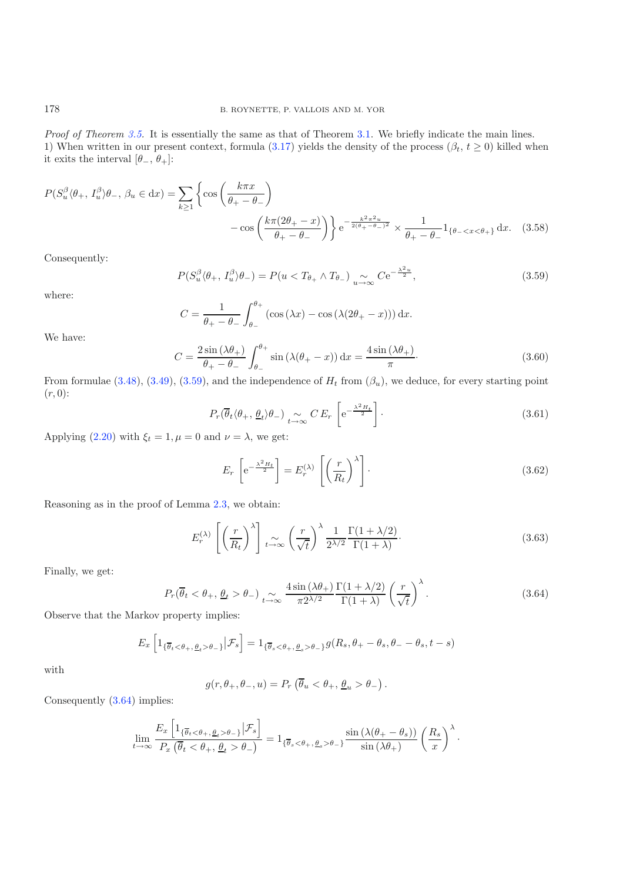<span id="page-26-0"></span>*Proof of Theorem [3.5.](#page-25-1)* It is essentially the same as that of Theorem [3.1.](#page-16-2) We briefly indicate the main lines. 1) When written in our present context, formula [\(3.17\)](#page-18-2) yields the density of the process  $(\beta_t, t \ge 0)$  killed when it exits the interval  $[\theta_-, \theta_+]$ :

$$
P(S_u^{\beta} \langle \theta_+, I_u^{\beta} \rangle \theta_-, \beta_u \in dx) = \sum_{k \ge 1} \left\{ \cos \left( \frac{k \pi x}{\theta_+ - \theta_-} \right) - \cos \left( \frac{k \pi (2\theta_+ - x)}{\theta_+ - \theta_-} \right) \right\} e^{-\frac{k^2 \pi^2 u}{2(\theta_+ - \theta_-)^2}} \times \frac{1}{\theta_+ - \theta_-} 1_{\{\theta_- < x < \theta_+\}} dx. \tag{3.58}
$$

Consequently:

$$
P(S_u^{\beta}(\theta_+, I_u^{\beta})\theta_-) = P(u < T_{\theta_+} \wedge T_{\theta_-}) \underset{u \to \infty}{\sim} Ce^{-\frac{\lambda^2 u}{2}}, \qquad (3.59)
$$

where:

$$
C = \frac{1}{\theta_+ - \theta_-} \int_{\theta_-}^{\theta_+} (\cos(\lambda x) - \cos(\lambda(2\theta_+ - x))) dx.
$$

We have:

$$
C = \frac{2\sin\left(\lambda\theta_{+}\right)}{\theta_{+} - \theta_{-}} \int_{\theta_{-}}^{\theta_{+}} \sin\left(\lambda(\theta_{+} - x)\right) dx = \frac{4\sin\left(\lambda\theta_{+}\right)}{\pi}.
$$
\n(3.60)

From formulae [\(3.48\)](#page-25-2), [\(3.49\)](#page-25-3), [\(3.59\)](#page-26-0), and the independence of  $H_t$  from  $(\beta_u)$ , we deduce, for every starting point  $(r, 0)$ :

$$
P_r(\overline{\theta}_t \langle \theta_+, \underline{\theta}_t \rangle \theta_-) \underset{t \to \infty}{\sim} C E_r \left[ e^{-\frac{\lambda^2 H_t}{2}} \right]. \tag{3.61}
$$

<span id="page-26-1"></span>Applying [\(2.20\)](#page-5-0) with  $\xi_t = 1, \mu = 0$  and  $\nu = \lambda$ , we get:

$$
E_r\left[e^{-\frac{\lambda^2 H_t}{2}}\right] = E_r^{(\lambda)}\left[\left(\frac{r}{R_t}\right)^{\lambda}\right].
$$
\n(3.62)

Reasoning as in the proof of Lemma [2.3,](#page-4-0) we obtain:

$$
E_r^{(\lambda)} \left[ \left( \frac{r}{R_t} \right)^{\lambda} \right]_{t \to \infty} \left( \frac{r}{\sqrt{t}} \right)^{\lambda} \frac{1}{2^{\lambda/2}} \frac{\Gamma(1 + \lambda/2)}{\Gamma(1 + \lambda)}.
$$
 (3.63)

Finally, we get:

$$
P_r(\overline{\theta}_t < \theta_+, \underline{\theta}_t > \theta_-) \underset{t \to \infty}{\sim} \frac{4 \sin(\lambda \theta_+)}{\pi 2^{\lambda/2}} \frac{\Gamma(1 + \lambda/2)}{\Gamma(1 + \lambda)} \left(\frac{r}{\sqrt{t}}\right)^\lambda. \tag{3.64}
$$

Observe that the Markov property implies:

$$
E_x \left[ 1_{\{\overline{\theta}_t < \theta_+, \underline{\theta}_t > \theta_- \}} \big| \mathcal{F}_s \right] = 1_{\{\overline{\theta}_s < \theta_+, \underline{\theta}_s > \theta_- \}} g(R_s, \theta_+ - \theta_s, \theta_- - \theta_s, t - s)
$$

with

$$
g(r, \theta_+, \theta_-, u) = P_r \left( \overline{\theta}_u < \theta_+, \underline{\theta}_u > \theta_- \right).
$$

Consequently [\(3.64\)](#page-26-1) implies:

$$
\lim_{t \to \infty} \frac{E_x \left[ 1_{\{\overline{\theta}_t < \theta_+, \theta_t > \theta_- \}} |\mathcal{F}_s \right]}{P_x \left( \overline{\theta}_t < \theta_+, \theta_t > \theta_- \right)} = 1_{\{\overline{\theta}_s < \theta_+, \theta_s > \theta_- \}} \frac{\sin \left( \lambda(\theta_+ - \theta_s) \right)}{\sin \left( \lambda \theta_+ \right)} \left( \frac{R_s}{x} \right)^{\lambda}.
$$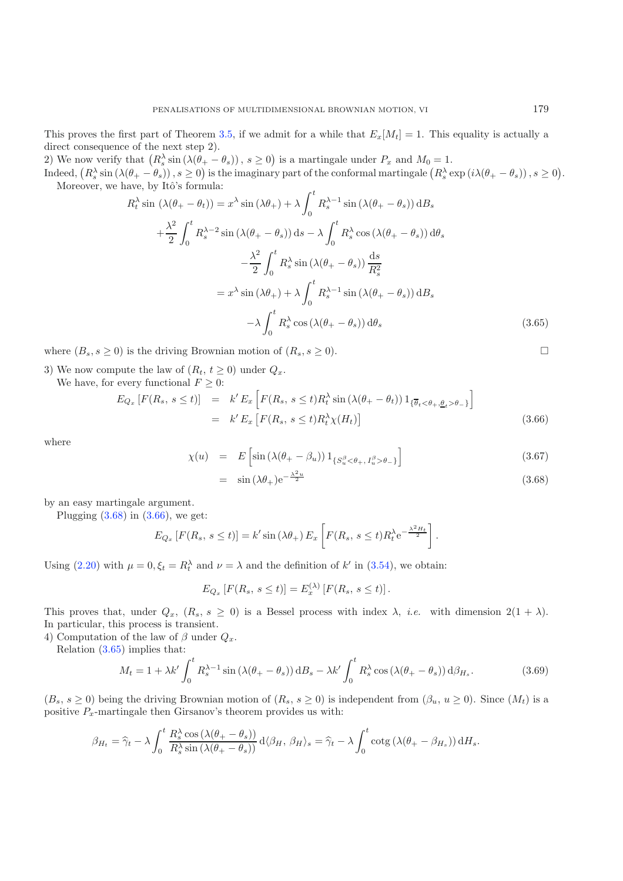This proves the first part of Theorem [3.5,](#page-25-1) if we admit for a while that  $E_x[M_t] = 1$ . This equality is actually a direct consequence of the next step 2).

2) We now verify that  $(R_s^{\lambda} \sin (\lambda(\theta_+ - \theta_s)), s \ge 0)$  is a martingale under  $P_x$  and  $M_0 = 1$ .

<span id="page-27-2"></span>Indeed,  $(R_s^{\lambda} \sin (\lambda(\theta_+ - \theta_s)), s \ge 0)$  is the imaginary part of the conformal martingale  $(R_s^{\lambda} \exp (i\lambda(\theta_+ - \theta_s)), s \ge 0)$ . Moreover, we have, by Itô's formula:  $\lambda$ 

$$
R_t^{\lambda} \sin \left(\lambda(\theta_+ - \theta_t)\right) = x^{\lambda} \sin \left(\lambda \theta_+\right) + \lambda \int_0^{\cdot} R_s^{\lambda - 1} \sin \left(\lambda(\theta_+ - \theta_s)\right) \mathrm{d}B_s
$$

$$
+ \frac{\lambda^2}{2} \int_0^t R_s^{\lambda - 2} \sin \left(\lambda(\theta_+ - \theta_s)\right) \mathrm{d}s - \lambda \int_0^t R_s^{\lambda} \cos \left(\lambda(\theta_+ - \theta_s)\right) \mathrm{d}\theta_s
$$

$$
- \frac{\lambda^2}{2} \int_0^t R_s^{\lambda} \sin \left(\lambda(\theta_+ - \theta_s)\right) \frac{\mathrm{d}s}{R_s^2}
$$

$$
= x^{\lambda} \sin \left(\lambda \theta_+ \right) + \lambda \int_0^t R_s^{\lambda - 1} \sin \left(\lambda(\theta_+ - \theta_s)\right) \mathrm{d}B_s
$$

$$
- \lambda \int_0^t R_s^{\lambda} \cos \left(\lambda(\theta_+ - \theta_s)\right) \mathrm{d}\theta_s \tag{3.65}
$$

where  $(B_s, s \geq 0)$  is the driving Brownian motion of  $(R_s, s \geq 0)$ .

3) We now compute the law of  $(R_t, t \geq 0)$  under  $Q_x$ .

<span id="page-27-1"></span>We have, for every functional  $F \geq 0$ :

<span id="page-27-0"></span>
$$
E_{Q_x}[F(R_s, s \le t)] = k' E_x \left[ F(R_s, s \le t) R_t^{\lambda} \sin(\lambda(\theta_t - \theta_t)) 1_{\{\overline{\theta}_t < \theta_+, \underline{\theta}_t > \theta_-\}} \right]
$$
\n
$$
= k' E_x \left[ F(R_s, s \le t) R_t^{\lambda} \chi(H_t) \right]
$$
\n
$$
(3.66)
$$

where

$$
\chi(u) = E\left[\sin\left(\lambda(\theta_{+} - \beta_{u})\right)1_{\{S_{u}^{\beta} < \theta_{+}, I_{u}^{\beta} > \theta_{-}\}}\right]
$$
\n(3.67)

$$
= \sin(\lambda \theta_+) e^{-\frac{\lambda^2 u}{2}} \tag{3.68}
$$

by an easy martingale argument.

Plugging  $(3.68)$  in  $(3.66)$ , we get:

$$
E_{Q_x}\left[F(R_s, s \le t)\right] = k' \sin\left(\lambda \theta_+\right) E_x\left[F(R_s, s \le t) R_t^{\lambda} e^{-\frac{\lambda^2 H_t}{2}}\right].
$$

Using [\(2.20\)](#page-5-0) with  $\mu = 0, \xi_t = R_t^{\lambda}$  and  $\nu = \lambda$  and the definition of k' in [\(3.54\)](#page-25-4), we obtain:

$$
E_{Q_x}[F(R_s, s \le t)] = E_x^{(\lambda)}[F(R_s, s \le t)].
$$

This proves that, under  $Q_x$ ,  $(R_s, s \ge 0)$  is a Bessel process with index  $\lambda$ , *i.e.* with dimension  $2(1 + \lambda)$ . In particular, this process is transient.

4) Computation of the law of  $\beta$  under  $Q_x$ .

Relation [\(3.65\)](#page-27-2) implies that:

$$
M_t = 1 + \lambda k' \int_0^t R_s^{\lambda - 1} \sin \left(\lambda (\theta_+ - \theta_s)\right) \mathrm{d}B_s - \lambda k' \int_0^t R_s^{\lambda} \cos \left(\lambda (\theta_+ - \theta_s)\right) \mathrm{d}\beta_{H_s}.\tag{3.69}
$$

 $(B_s, s \ge 0)$  being the driving Brownian motion of  $(R_s, s \ge 0)$  is independent from  $(\beta_u, u \ge 0)$ . Since  $(M_t)$  is a positive  $P_x$ -martingale then Girsanov's theorem provides us with:

$$
\beta_{H_t} = \widehat{\gamma}_t - \lambda \int_0^t \frac{R_s^{\lambda} \cos(\lambda(\theta_+ - \theta_s))}{R_s^{\lambda} \sin(\lambda(\theta_+ - \theta_s))} d\langle \beta_H, \beta_H \rangle_s = \widehat{\gamma}_t - \lambda \int_0^t \cot(\lambda(\theta_+ - \beta_{H_s})) dH_s.
$$

 $\Box$